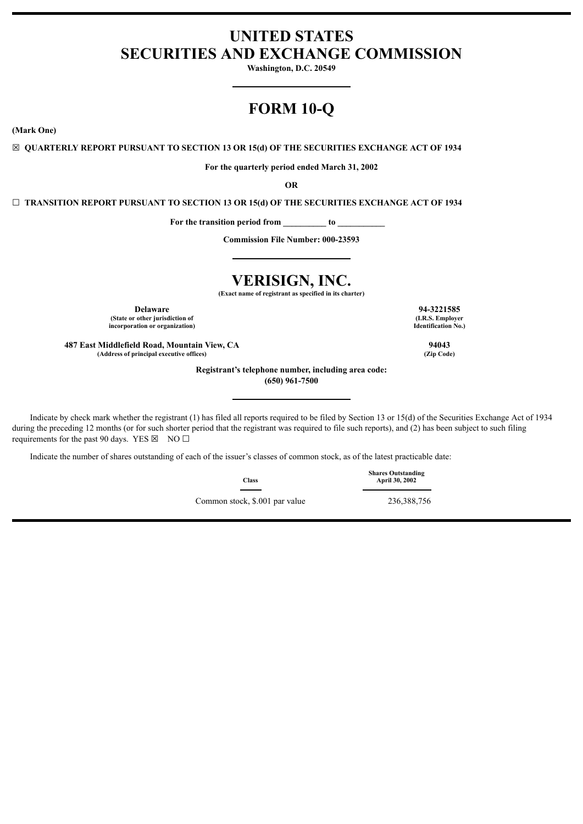# **UNITED STATES SECURITIES AND EXCHANGE COMMISSION**

**Washington, D.C. 20549**

# **FORM 10-Q**

**(Mark One)**

☒ **QUARTERLY REPORT PURSUANT TO SECTION 13 OR 15(d) OF THE SECURITIES EXCHANGE ACT OF 1934**

**For the quarterly period ended March 31, 2002**

**OR**

☐ **TRANSITION REPORT PURSUANT TO SECTION 13 OR 15(d) OF THE SECURITIES EXCHANGE ACT OF 1934**

**For the transition period from \_\_\_\_\_\_\_\_\_\_ to \_\_\_\_\_\_\_\_\_\_\_** 

**Commission File Number: 000-23593**

# **VERISIGN, INC.**

**(Exact name of registrant as specified in its charter)**

**Delaware 94-3221585 (State or other jurisdiction of incorporation or organization)**

**487 East Middlefield Road, Mountain View, CA 94043 (Address of principal executive offices) (Zip Code)**

**Registrant's telephone number, including area code:**

**(650) 961-7500**

Indicate by check mark whether the registrant (1) has filed all reports required to be filed by Section 13 or 15(d) of the Securities Exchange Act of 1934 during the preceding 12 months (or for such shorter period that the registrant was required to file such reports), and (2) has been subject to such filing requirements for the past 90 days. YES  $\boxtimes$  NO  $\Box$ 

Indicate the number of shares outstanding of each of the issuer's classes of common stock, as of the latest practicable date:

**Class** Common stock, \$.001 par value 236,388,756

**Identification No.)**

**(I.R.S. Employer**

**Shares Outstanding April 30, 2002**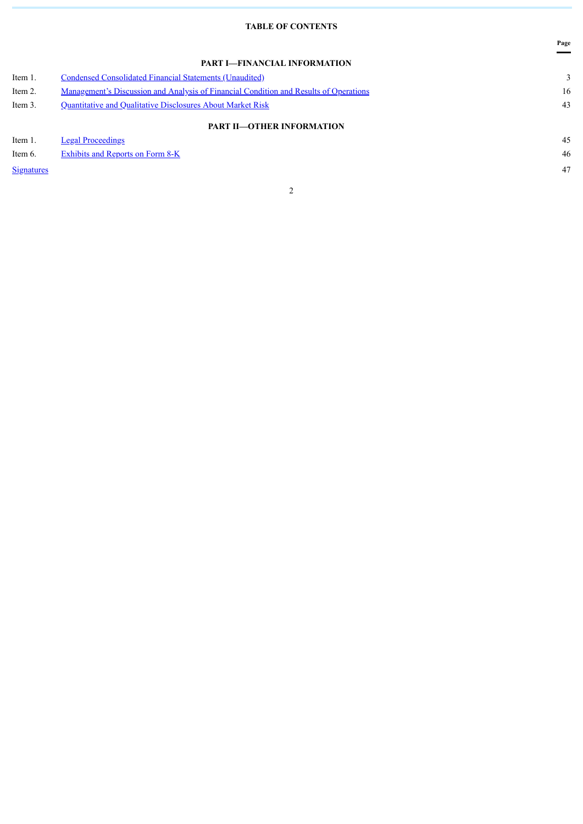# **TABLE OF CONTENTS**

**Page**

|                   | PART I-FINANCIAL INFORMATION                                                          |    |
|-------------------|---------------------------------------------------------------------------------------|----|
| Item 1.           | <b>Condensed Consolidated Financial Statements (Unaudited)</b>                        | 3  |
| Item 2.           | Management's Discussion and Analysis of Financial Condition and Results of Operations | 16 |
| Item 3.           | Quantitative and Qualitative Disclosures About Market Risk                            | 43 |
|                   | <b>PART II-OTHER INFORMATION</b>                                                      |    |
| Item 1.           | <b>Legal Proceedings</b>                                                              | 45 |
| Item 6.           | <b>Exhibits and Reports on Form 8-K</b>                                               | 46 |
| <b>Signatures</b> |                                                                                       | 47 |
|                   |                                                                                       |    |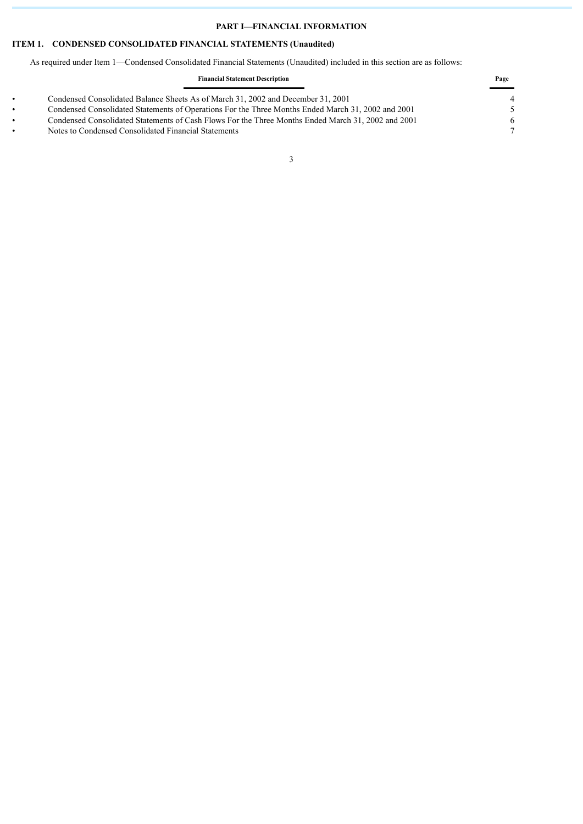# **PART I—FINANCIAL INFORMATION**

# <span id="page-2-0"></span>**ITEM 1. CONDENSED CONSOLIDATED FINANCIAL STATEMENTS (Unaudited)**

As required under Item 1—Condensed Consolidated Financial Statements (Unaudited) included in this section are as follows:

|           | <b>Financial Statement Description</b>                                                             |       |
|-----------|----------------------------------------------------------------------------------------------------|-------|
|           | Condensed Consolidated Balance Sheets As of March 31, 2002 and December 31, 2001                   | _____ |
| $\bullet$ | Condensed Consolidated Statements of Operations For the Three Months Ended March 31, 2002 and 2001 |       |
| $\bullet$ | Condensed Consolidated Statements of Cash Flows For the Three Months Ended March 31, 2002 and 2001 | 6     |
|           | Notes to Condensed Consolidated Financial Statements                                               |       |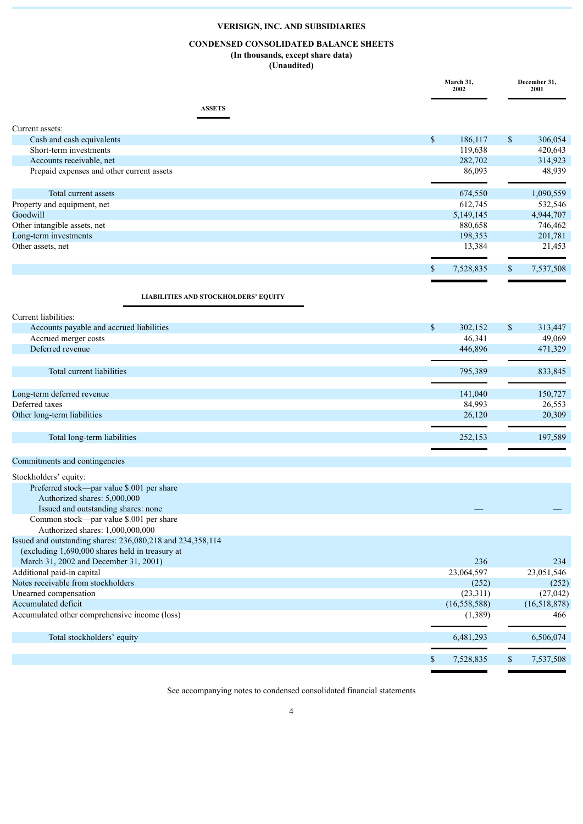# **CONDENSED CONSOLIDATED BALANCE SHEETS**

#### **(In thousands, except share data) (Unaudited)**

|                                                                                                               |                           | March 31,<br>2002 |              | December 31,<br>2001 |  |
|---------------------------------------------------------------------------------------------------------------|---------------------------|-------------------|--------------|----------------------|--|
| <b>ASSETS</b>                                                                                                 |                           |                   |              |                      |  |
| Current assets:                                                                                               |                           |                   |              |                      |  |
| Cash and cash equivalents                                                                                     | $\mathcal{S}$             | 186,117           | $\mathbb{S}$ | 306,054              |  |
| Short-term investments                                                                                        |                           | 119,638           |              | 420,643              |  |
| Accounts receivable, net                                                                                      |                           | 282,702           |              | 314,923              |  |
| Prepaid expenses and other current assets                                                                     |                           | 86,093            |              | 48,939               |  |
| Total current assets                                                                                          |                           | 674,550           |              | 1,090,559            |  |
| Property and equipment, net                                                                                   |                           | 612,745           |              | 532,546              |  |
| Goodwill                                                                                                      |                           | 5,149,145         |              | 4,944,707            |  |
| Other intangible assets, net                                                                                  |                           | 880,658           |              | 746,462              |  |
| Long-term investments                                                                                         |                           | 198,353           |              | 201,781              |  |
| Other assets, net                                                                                             |                           | 13,384            |              | 21,453               |  |
|                                                                                                               | \$                        | 7,528,835         | \$           | 7,537,508            |  |
|                                                                                                               |                           |                   |              |                      |  |
| <b>LIABILITIES AND STOCKHOLDERS' EQUITY</b>                                                                   |                           |                   |              |                      |  |
| Current liabilities:                                                                                          |                           |                   |              |                      |  |
| Accounts payable and accrued liabilities                                                                      | $\mathsf{\$}$             | 302,152           | $\mathbb{S}$ | 313,447              |  |
| Accrued merger costs                                                                                          |                           | 46,341            |              | 49,069               |  |
| Deferred revenue                                                                                              |                           | 446,896           |              | 471,329              |  |
|                                                                                                               |                           |                   |              |                      |  |
| Total current liabilities                                                                                     |                           | 795,389           |              | 833,845              |  |
| Long-term deferred revenue                                                                                    |                           | 141,040           |              | 150,727              |  |
| Deferred taxes                                                                                                |                           | 84,993            |              | 26,553               |  |
| Other long-term liabilities                                                                                   |                           | 26,120            |              | 20,309               |  |
| Total long-term liabilities                                                                                   |                           | 252,153           |              | 197,589              |  |
|                                                                                                               |                           |                   |              |                      |  |
| Commitments and contingencies                                                                                 |                           |                   |              |                      |  |
| Stockholders' equity:                                                                                         |                           |                   |              |                      |  |
| Preferred stock—par value \$.001 per share                                                                    |                           |                   |              |                      |  |
| Authorized shares: 5,000,000                                                                                  |                           |                   |              |                      |  |
| Issued and outstanding shares: none                                                                           |                           |                   |              |                      |  |
| Common stock—par value \$.001 per share                                                                       |                           |                   |              |                      |  |
| Authorized shares: 1,000,000,000                                                                              |                           |                   |              |                      |  |
| Issued and outstanding shares: 236,080,218 and 234,358,114<br>(excluding 1,690,000 shares held in treasury at |                           |                   |              |                      |  |
| March 31, 2002 and December 31, 2001)                                                                         |                           | 236               |              | 234                  |  |
| Additional paid-in capital                                                                                    |                           | 23,064,597        |              | 23,051,546           |  |
| Notes receivable from stockholders                                                                            |                           | (252)             |              | (252)                |  |
| Unearned compensation                                                                                         |                           | (23,311)          |              | (27, 042)            |  |
| Accumulated deficit                                                                                           |                           | (16, 558, 588)    |              | (16,518,878)         |  |
| Accumulated other comprehensive income (loss)                                                                 |                           | (1,389)           |              | 466                  |  |
|                                                                                                               |                           |                   |              |                      |  |
| Total stockholders' equity                                                                                    |                           | 6,481,293         |              | 6,506,074            |  |
|                                                                                                               | $\boldsymbol{\mathsf{S}}$ | 7,528,835         | $\mathbb{S}$ | 7,537,508            |  |

See accompanying notes to condensed consolidated financial statements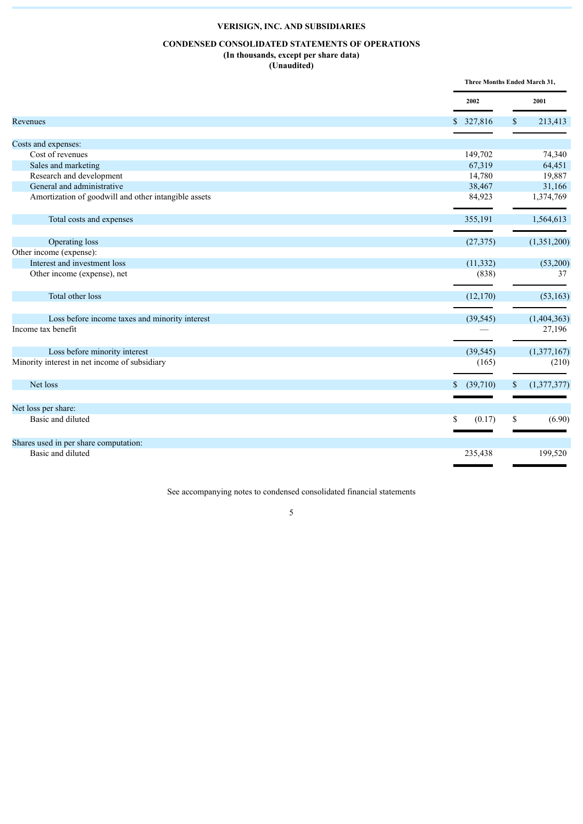# **CONDENSED CONSOLIDATED STATEMENTS OF OPERATIONS**

#### **(In thousands, except per share data) (Unaudited)**

|                                                      |                          | Three Months Ended March 31, |
|------------------------------------------------------|--------------------------|------------------------------|
|                                                      | 2002                     | 2001                         |
| Revenues                                             | 327,816<br>$\mathbb{S}$  | 213,413<br>\$                |
|                                                      |                          |                              |
| Costs and expenses:                                  |                          |                              |
| Cost of revenues                                     | 149,702                  | 74,340                       |
| Sales and marketing                                  | 67,319                   | 64,451                       |
| Research and development                             | 14,780                   | 19,887                       |
| General and administrative                           | 38,467                   | 31,166                       |
| Amortization of goodwill and other intangible assets | 84,923                   | 1,374,769                    |
| Total costs and expenses                             | 355,191                  | 1,564,613                    |
| Operating loss                                       | (27, 375)                | (1,351,200)                  |
| Other income (expense):                              |                          |                              |
| Interest and investment loss                         | (11, 332)                | (53,200)                     |
| Other income (expense), net                          | (838)                    | 37                           |
| Total other loss                                     | (12,170)                 | (53, 163)                    |
|                                                      |                          |                              |
| Loss before income taxes and minority interest       | (39, 545)                | (1,404,363)                  |
| Income tax benefit                                   |                          | 27,196                       |
| Loss before minority interest                        | (39, 545)                | (1,377,167)                  |
| Minority interest in net income of subsidiary        | (165)                    | (210)                        |
| Net loss                                             | (39,710)<br>$\mathbb{S}$ | (1,377,377)<br>\$            |
| Net loss per share:                                  |                          |                              |
| Basic and diluted                                    | S<br>(0.17)              | (6.90)<br>\$                 |
|                                                      |                          |                              |
| Shares used in per share computation:                |                          |                              |
| Basic and diluted                                    | 235,438                  | 199,520                      |

See accompanying notes to condensed consolidated financial statements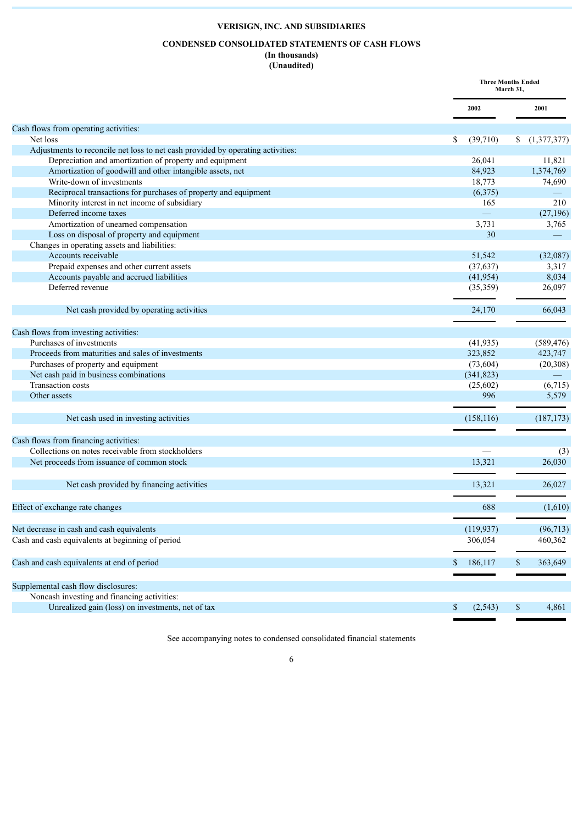# **CONDENSED CONSOLIDATED STATEMENTS OF CASH FLOWS**

# **(In thousands) (Unaudited)**

|                                                                                 |                | <b>Three Months Ended</b><br>March 31, |
|---------------------------------------------------------------------------------|----------------|----------------------------------------|
|                                                                                 | 2002           | 2001                                   |
| Cash flows from operating activities:                                           |                |                                        |
| Net loss                                                                        | (39,710)<br>S. | (1,377,377)<br>\$                      |
| Adjustments to reconcile net loss to net cash provided by operating activities: |                |                                        |
| Depreciation and amortization of property and equipment                         | 26,041         | 11,821                                 |
| Amortization of goodwill and other intangible assets, net                       | 84,923         | 1,374,769                              |
| Write-down of investments                                                       | 18,773         | 74,690                                 |
| Reciprocal transactions for purchases of property and equipment                 | (6,375)        |                                        |
| Minority interest in net income of subsidiary                                   | 165            | 210                                    |
| Deferred income taxes                                                           | $\equiv$       | (27, 196)                              |
| Amortization of unearned compensation                                           | 3,731          | 3,765                                  |
| Loss on disposal of property and equipment                                      | 30             |                                        |
| Changes in operating assets and liabilities:                                    |                |                                        |
| Accounts receivable                                                             | 51,542         | (32,087)                               |
| Prepaid expenses and other current assets                                       | (37, 637)      | 3,317                                  |
| Accounts payable and accrued liabilities                                        | (41, 954)      | 8,034                                  |
| Deferred revenue                                                                | (35,359)       | 26,097                                 |
| Net cash provided by operating activities                                       | 24,170         | 66,043                                 |
| Cash flows from investing activities:                                           |                |                                        |
| Purchases of investments                                                        | (41, 935)      | (589, 476)                             |
| Proceeds from maturities and sales of investments                               | 323,852        | 423,747                                |
| Purchases of property and equipment                                             | (73, 604)      | (20, 308)                              |
| Net cash paid in business combinations                                          | (341, 823)     |                                        |
| <b>Transaction</b> costs                                                        | (25,602)       | (6,715)                                |
| Other assets                                                                    | 996            | 5,579                                  |
| Net cash used in investing activities                                           | (158, 116)     | (187, 173)                             |
| Cash flows from financing activities:                                           |                |                                        |
| Collections on notes receivable from stockholders                               |                | (3)                                    |
| Net proceeds from issuance of common stock                                      | 13.321         | 26,030                                 |
| Net cash provided by financing activities                                       | 13,321         | 26,027                                 |
| Effect of exchange rate changes                                                 | 688            | (1,610)                                |
| Net decrease in cash and cash equivalents                                       | (119, 937)     | (96, 713)                              |
| Cash and cash equivalents at beginning of period                                | 306,054        | 460,362                                |
| Cash and cash equivalents at end of period                                      | 186,117        | 363,649<br>\$                          |
| Supplemental cash flow disclosures:                                             |                |                                        |
| Noncash investing and financing activities:                                     |                |                                        |
| Unrealized gain (loss) on investments, net of tax                               | \$<br>(2, 543) | \$<br>4,861                            |

See accompanying notes to condensed consolidated financial statements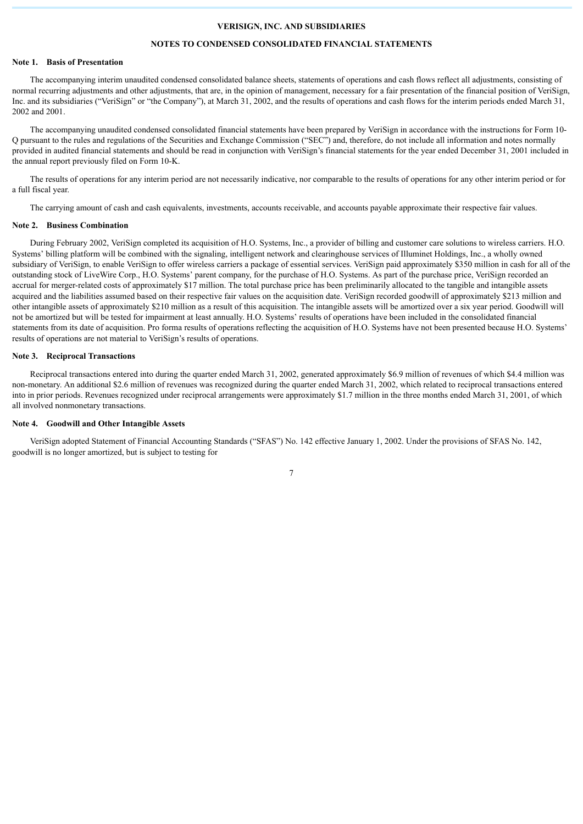# **NOTES TO CONDENSED CONSOLIDATED FINANCIAL STATEMENTS**

#### **Note 1. Basis of Presentation**

The accompanying interim unaudited condensed consolidated balance sheets, statements of operations and cash flows reflect all adjustments, consisting of normal recurring adjustments and other adjustments, that are, in the opinion of management, necessary for a fair presentation of the financial position of VeriSign, Inc. and its subsidiaries ("VeriSign" or "the Company"), at March 31, 2002, and the results of operations and cash flows for the interim periods ended March 31, 2002 and 2001.

The accompanying unaudited condensed consolidated financial statements have been prepared by VeriSign in accordance with the instructions for Form 10- Q pursuant to the rules and regulations of the Securities and Exchange Commission ("SEC") and, therefore, do not include all information and notes normally provided in audited financial statements and should be read in conjunction with VeriSign's financial statements for the year ended December 31, 2001 included in the annual report previously filed on Form 10-K.

The results of operations for any interim period are not necessarily indicative, nor comparable to the results of operations for any other interim period or for a full fiscal year.

The carrying amount of cash and cash equivalents, investments, accounts receivable, and accounts payable approximate their respective fair values.

### **Note 2. Business Combination**

During February 2002, VeriSign completed its acquisition of H.O. Systems, Inc., a provider of billing and customer care solutions to wireless carriers. H.O. Systems' billing platform will be combined with the signaling, intelligent network and clearinghouse services of Illuminet Holdings, Inc., a wholly owned subsidiary of VeriSign, to enable VeriSign to offer wireless carriers a package of essential services. VeriSign paid approximately \$350 million in cash for all of the outstanding stock of LiveWire Corp., H.O. Systems' parent company, for the purchase of H.O. Systems. As part of the purchase price, VeriSign recorded an accrual for merger-related costs of approximately \$17 million. The total purchase price has been preliminarily allocated to the tangible and intangible assets acquired and the liabilities assumed based on their respective fair values on the acquisition date. VeriSign recorded goodwill of approximately \$213 million and other intangible assets of approximately \$210 million as a result of this acquisition. The intangible assets will be amortized over a six year period. Goodwill will not be amortized but will be tested for impairment at least annually. H.O. Systems' results of operations have been included in the consolidated financial statements from its date of acquisition. Pro forma results of operations reflecting the acquisition of H.O. Systems have not been presented because H.O. Systems' results of operations are not material to VeriSign's results of operations.

#### **Note 3. Reciprocal Transactions**

Reciprocal transactions entered into during the quarter ended March 31, 2002, generated approximately \$6.9 million of revenues of which \$4.4 million was non-monetary. An additional \$2.6 million of revenues was recognized during the quarter ended March 31, 2002, which related to reciprocal transactions entered into in prior periods. Revenues recognized under reciprocal arrangements were approximately \$1.7 million in the three months ended March 31, 2001, of which all involved nonmonetary transactions.

## **Note 4. Goodwill and Other Intangible Assets**

VeriSign adopted Statement of Financial Accounting Standards ("SFAS") No. 142 effective January 1, 2002. Under the provisions of SFAS No. 142, goodwill is no longer amortized, but is subject to testing for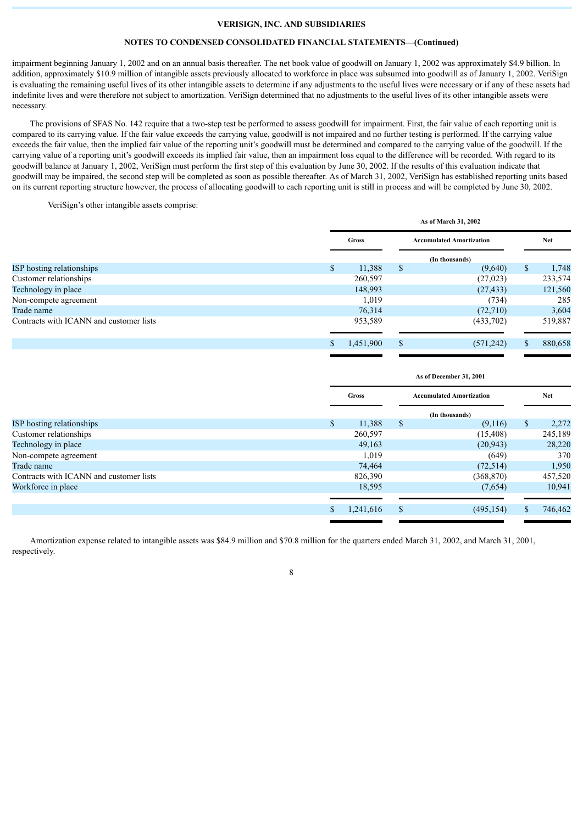# **NOTES TO CONDENSED CONSOLIDATED FINANCIAL STATEMENTS—(Continued)**

impairment beginning January 1, 2002 and on an annual basis thereafter. The net book value of goodwill on January 1, 2002 was approximately \$4.9 billion. In addition, approximately \$10.9 million of intangible assets previously allocated to workforce in place was subsumed into goodwill as of January 1, 2002. VeriSign is evaluating the remaining useful lives of its other intangible assets to determine if any adjustments to the useful lives were necessary or if any of these assets had indefinite lives and were therefore not subject to amortization. VeriSign determined that no adjustments to the useful lives of its other intangible assets were necessary.

The provisions of SFAS No. 142 require that a two-step test be performed to assess goodwill for impairment. First, the fair value of each reporting unit is compared to its carrying value. If the fair value exceeds the carrying value, goodwill is not impaired and no further testing is performed. If the carrying value exceeds the fair value, then the implied fair value of the reporting unit's goodwill must be determined and compared to the carrying value of the goodwill. If the carrying value of a reporting unit's goodwill exceeds its implied fair value, then an impairment loss equal to the difference will be recorded. With regard to its goodwill balance at January 1, 2002, VeriSign must perform the first step of this evaluation by June 30, 2002. If the results of this evaluation indicate that goodwill may be impaired, the second step will be completed as soon as possible thereafter. As of March 31, 2002, VeriSign has established reporting units based on its current reporting structure however, the process of allocating goodwill to each reporting unit is still in process and will be completed by June 30, 2002.

VeriSign's other intangible assets comprise:

|                                         |    | As of March 31, 2002 |    |                                 |               |            |  |
|-----------------------------------------|----|----------------------|----|---------------------------------|---------------|------------|--|
|                                         |    | Gross                |    | <b>Accumulated Amortization</b> |               | <b>Net</b> |  |
|                                         |    |                      |    | (In thousands)                  |               |            |  |
| ISP hosting relationships               | \$ | 11,388               | \$ | (9,640)                         | S             | 1,748      |  |
| Customer relationships                  |    | 260,597              |    | (27, 023)                       |               | 233,574    |  |
| Technology in place                     |    | 148,993              |    | (27, 433)                       |               | 121,560    |  |
| Non-compete agreement                   |    | 1,019                |    | (734)                           |               | 285        |  |
| Trade name                              |    | 76,314               |    | (72,710)                        |               | 3,604      |  |
| Contracts with ICANN and customer lists |    | 953,589              |    | (433,702)                       |               | 519,887    |  |
|                                         | S. | 1,451,900            | \$ | (571, 242)                      | <sup>\$</sup> | 880,658    |  |
|                                         |    |                      |    |                                 |               |            |  |

|                                         |               | As of December 31, 2001 |    |                                 |               |            |  |
|-----------------------------------------|---------------|-------------------------|----|---------------------------------|---------------|------------|--|
|                                         |               | Gross                   |    | <b>Accumulated Amortization</b> |               | <b>Net</b> |  |
|                                         |               |                         |    | (In thousands)                  |               |            |  |
| ISP hosting relationships               | <sup>\$</sup> | 11,388                  | \$ | (9,116)                         | <sup>\$</sup> | 2,272      |  |
| Customer relationships                  |               | 260,597                 |    | (15, 408)                       |               | 245,189    |  |
| Technology in place                     |               | 49,163                  |    | (20, 943)                       |               | 28,220     |  |
| Non-compete agreement                   |               | 1,019                   |    | (649)                           |               | 370        |  |
| Trade name                              |               | 74,464                  |    | (72, 514)                       |               | 1,950      |  |
| Contracts with ICANN and customer lists |               | 826,390                 |    | (368, 870)                      |               | 457,520    |  |
| Workforce in place                      |               | 18,595                  |    | (7,654)                         |               | 10,941     |  |
|                                         |               |                         |    |                                 |               |            |  |
|                                         | <sup>\$</sup> | 1,241,616               | \$ | (495, 154)                      | <sup>S</sup>  | 746,462    |  |

Amortization expense related to intangible assets was \$84.9 million and \$70.8 million for the quarters ended March 31, 2002, and March 31, 2001, respectively.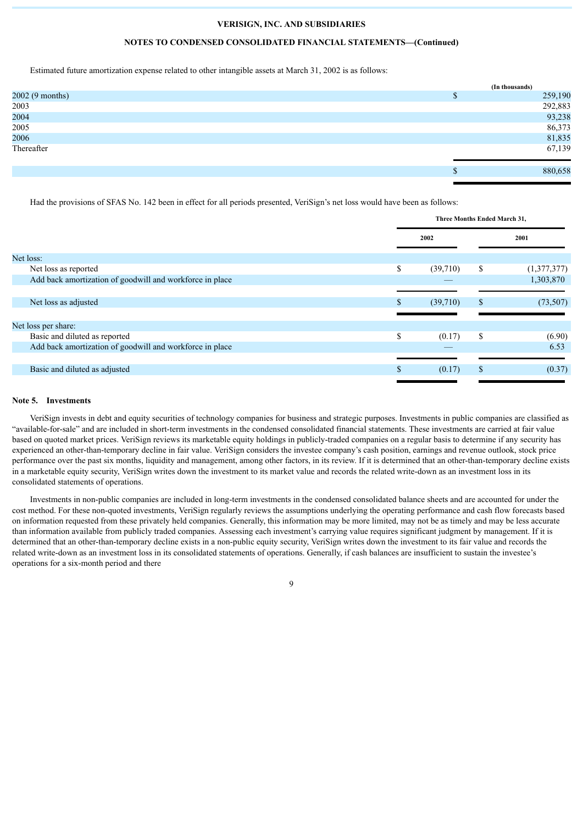### **NOTES TO CONDENSED CONSOLIDATED FINANCIAL STATEMENTS—(Continued)**

Estimated future amortization expense related to other intangible assets at March 31, 2002 is as follows:

|                 | (In thousands) |
|-----------------|----------------|
| 2002 (9 months) | 259,190        |
| 2003            | 292,883        |
| 2004            | 93,238         |
| 2005            | 86,373         |
| 2006            | 81,835         |
| Thereafter      | 67,139         |
|                 | 880,658        |

Had the provisions of SFAS No. 142 been in effect for all periods presented, VeriSign's net loss would have been as follows:

|                                                          |    | Three Months Ended March 31, |    |             |  |
|----------------------------------------------------------|----|------------------------------|----|-------------|--|
|                                                          |    | 2002                         |    | 2001        |  |
| Net loss:                                                |    |                              |    |             |  |
| Net loss as reported                                     | \$ | (39,710)                     | S  | (1,377,377) |  |
| Add back amortization of goodwill and workforce in place |    |                              |    | 1,303,870   |  |
|                                                          |    |                              |    |             |  |
| Net loss as adjusted                                     | S  | (39,710)                     | S  | (73, 507)   |  |
|                                                          |    |                              |    |             |  |
| Net loss per share:                                      |    |                              |    |             |  |
| Basic and diluted as reported                            | \$ | (0.17)                       | \$ | (6.90)      |  |
| Add back amortization of goodwill and workforce in place |    |                              |    | 6.53        |  |
|                                                          |    |                              |    |             |  |
| Basic and diluted as adjusted                            | \$ | (0.17)                       |    | (0.37)      |  |
|                                                          |    |                              |    |             |  |

### **Note 5. Investments**

VeriSign invests in debt and equity securities of technology companies for business and strategic purposes. Investments in public companies are classified as "available-for-sale" and are included in short-term investments in the condensed consolidated financial statements. These investments are carried at fair value based on quoted market prices. VeriSign reviews its marketable equity holdings in publicly-traded companies on a regular basis to determine if any security has experienced an other-than-temporary decline in fair value. VeriSign considers the investee company's cash position, earnings and revenue outlook, stock price performance over the past six months, liquidity and management, among other factors, in its review. If it is determined that an other-than-temporary decline exists in a marketable equity security, VeriSign writes down the investment to its market value and records the related write-down as an investment loss in its consolidated statements of operations.

Investments in non-public companies are included in long-term investments in the condensed consolidated balance sheets and are accounted for under the cost method. For these non-quoted investments, VeriSign regularly reviews the assumptions underlying the operating performance and cash flow forecasts based on information requested from these privately held companies. Generally, this information may be more limited, may not be as timely and may be less accurate than information available from publicly traded companies. Assessing each investment's carrying value requires significant judgment by management. If it is determined that an other-than-temporary decline exists in a non-public equity security, VeriSign writes down the investment to its fair value and records the related write-down as an investment loss in its consolidated statements of operations. Generally, if cash balances are insufficient to sustain the investee's operations for a six-month period and there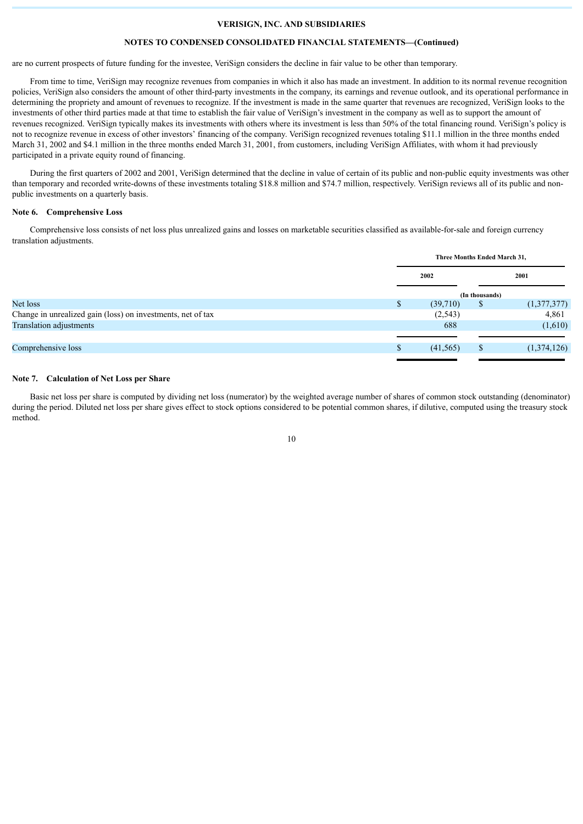#### **NOTES TO CONDENSED CONSOLIDATED FINANCIAL STATEMENTS—(Continued)**

are no current prospects of future funding for the investee, VeriSign considers the decline in fair value to be other than temporary.

From time to time, VeriSign may recognize revenues from companies in which it also has made an investment. In addition to its normal revenue recognition policies, VeriSign also considers the amount of other third-party investments in the company, its earnings and revenue outlook, and its operational performance in determining the propriety and amount of revenues to recognize. If the investment is made in the same quarter that revenues are recognized, VeriSign looks to the investments of other third parties made at that time to establish the fair value of VeriSign's investment in the company as well as to support the amount of revenues recognized. VeriSign typically makes its investments with others where its investment is less than 50% of the total financing round. VeriSign's policy is not to recognize revenue in excess of other investors' financing of the company. VeriSign recognized revenues totaling \$11.1 million in the three months ended March 31, 2002 and \$4.1 million in the three months ended March 31, 2001, from customers, including VeriSign Affiliates, with whom it had previously participated in a private equity round of financing.

During the first quarters of 2002 and 2001, VeriSign determined that the decline in value of certain of its public and non-public equity investments was other than temporary and recorded write-downs of these investments totaling \$18.8 million and \$74.7 million, respectively. VeriSign reviews all of its public and nonpublic investments on a quarterly basis.

# **Note 6. Comprehensive Loss**

Comprehensive loss consists of net loss plus unrealized gains and losses on marketable securities classified as available-for-sale and foreign currency translation adjustments.

|                                                             | Three Months Ended March 31, |                |             |  |
|-------------------------------------------------------------|------------------------------|----------------|-------------|--|
|                                                             | 2002<br>2001                 |                |             |  |
|                                                             |                              | (In thousands) |             |  |
| Net loss                                                    | \$<br>(39,710)               | \$             | (1,377,377) |  |
| Change in unrealized gain (loss) on investments, net of tax | (2, 543)                     |                | 4,861       |  |
| Translation adjustments                                     | 688                          |                | (1,610)     |  |
|                                                             |                              |                |             |  |
| Comprehensive loss                                          | \$<br>(41, 565)              | <sup>S</sup>   | (1,374,126) |  |
|                                                             |                              |                |             |  |

# **Note 7. Calculation of Net Loss per Share**

Basic net loss per share is computed by dividing net loss (numerator) by the weighted average number of shares of common stock outstanding (denominator) during the period. Diluted net loss per share gives effect to stock options considered to be potential common shares, if dilutive, computed using the treasury stock method.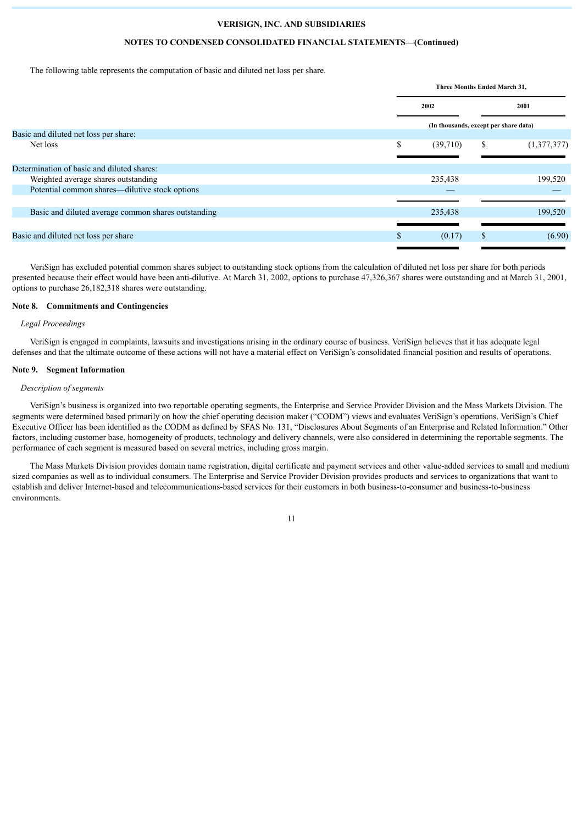#### **NOTES TO CONDENSED CONSOLIDATED FINANCIAL STATEMENTS—(Continued)**

The following table represents the computation of basic and diluted net loss per share.

|                                                     |     | Three Months Ended March 31,          |    |             |  |
|-----------------------------------------------------|-----|---------------------------------------|----|-------------|--|
|                                                     |     | 2002                                  |    | 2001        |  |
|                                                     |     | (In thousands, except per share data) |    |             |  |
| Basic and diluted net loss per share:               |     |                                       |    |             |  |
| Net loss                                            | \$  | (39,710)                              | \$ | (1,377,377) |  |
|                                                     |     |                                       |    |             |  |
| Determination of basic and diluted shares:          |     |                                       |    |             |  |
| Weighted average shares outstanding                 |     | 235,438                               |    | 199,520     |  |
| Potential common shares—dilutive stock options      |     |                                       |    |             |  |
|                                                     |     |                                       |    |             |  |
| Basic and diluted average common shares outstanding |     | 235,438                               |    | 199,520     |  |
|                                                     |     |                                       |    |             |  |
| Basic and diluted net loss per share                | \$. | (0.17)                                | \$ | (6.90)      |  |
|                                                     |     |                                       |    |             |  |

VeriSign has excluded potential common shares subject to outstanding stock options from the calculation of diluted net loss per share for both periods presented because their effect would have been anti-dilutive. At March 31, 2002, options to purchase 47,326,367 shares were outstanding and at March 31, 2001, options to purchase 26,182,318 shares were outstanding.

#### **Note 8. Commitments and Contingencies**

#### *Legal Proceedings*

VeriSign is engaged in complaints, lawsuits and investigations arising in the ordinary course of business. VeriSign believes that it has adequate legal defenses and that the ultimate outcome of these actions will not have a material effect on VeriSign's consolidated financial position and results of operations.

#### **Note 9. Segment Information**

#### *Description of segments*

VeriSign's business is organized into two reportable operating segments, the Enterprise and Service Provider Division and the Mass Markets Division. The segments were determined based primarily on how the chief operating decision maker ("CODM") views and evaluates VeriSign's operations. VeriSign's Chief Executive Officer has been identified as the CODM as defined by SFAS No. 131, "Disclosures About Segments of an Enterprise and Related Information." Other factors, including customer base, homogeneity of products, technology and delivery channels, were also considered in determining the reportable segments. The performance of each segment is measured based on several metrics, including gross margin.

The Mass Markets Division provides domain name registration, digital certificate and payment services and other value-added services to small and medium sized companies as well as to individual consumers. The Enterprise and Service Provider Division provides products and services to organizations that want to establish and deliver Internet-based and telecommunications-based services for their customers in both business-to-consumer and business-to-business environments.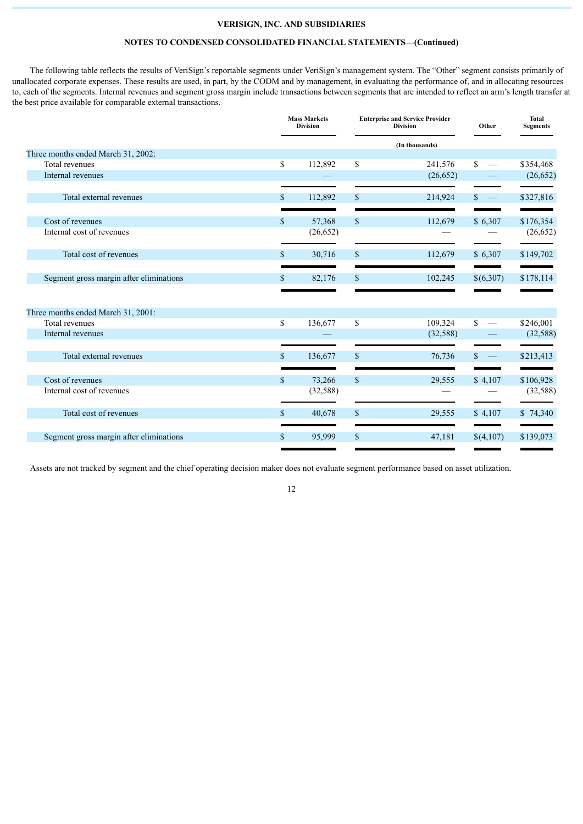# **NOTES TO CONDENSED CONSOLIDATED FINANCIAL STATEMENTS—(Continued)**

The following table reflects the results of VeriSign's reportable segments under VeriSign's management system. The "Other" segment consists primarily of unallocated corporate expenses. These results are used, in part, by the CODM and by management, in evaluating the performance of, and in allocating resources to, each of the segments. Internal revenues and segment gross margin include transactions between segments that are intended to reflect an arm's length transfer at the best price available for comparable external transactions.

|                                                      |              | <b>Mass Markets</b><br><b>Division</b> |               | <b>Enterprise and Service Provider</b><br><b>Division</b> |                                 | Total<br><b>Segments</b> |  |
|------------------------------------------------------|--------------|----------------------------------------|---------------|-----------------------------------------------------------|---------------------------------|--------------------------|--|
|                                                      |              |                                        |               | (In thousands)                                            |                                 |                          |  |
| Three months ended March 31, 2002:                   |              |                                        |               |                                                           |                                 |                          |  |
| Total revenues                                       | \$           | 112,892                                | \$            | 241,576                                                   | \$                              | \$354,468                |  |
| Internal revenues                                    |              |                                        |               | (26, 652)                                                 |                                 | (26, 652)                |  |
| Total external revenues                              | $\mathbb{S}$ | 112,892                                | \$            | 214,924                                                   | $\mathbb{S}$<br>$\sim$ $-$      | \$327,816                |  |
| Cost of revenues                                     | $\mathbb{S}$ | 57,368                                 | $\mathbb{S}$  | 112,679                                                   | \$6,307                         | \$176,354                |  |
| Internal cost of revenues                            |              | (26, 652)                              |               |                                                           |                                 | (26, 652)                |  |
| Total cost of revenues                               | \$           | 30,716                                 | $\mathbb{S}$  | 112,679                                                   | \$6,307                         | \$149,702                |  |
| Segment gross margin after eliminations              | \$.          | 82,176                                 | <sup>\$</sup> | 102,245                                                   | \$(6,307)                       | \$178,114                |  |
|                                                      |              |                                        |               |                                                           |                                 |                          |  |
| Three months ended March 31, 2001:<br>Total revenues | \$           | 136,677                                | \$            | 109,324                                                   | \$                              | \$246,001                |  |
| Internal revenues                                    |              |                                        |               | (32, 588)                                                 |                                 | (32, 588)                |  |
|                                                      |              |                                        |               |                                                           |                                 |                          |  |
| Total external revenues                              | $\mathbb{S}$ | 136,677                                | <sup>\$</sup> | 76,736                                                    | \$.<br>$\overline{\phantom{a}}$ | \$213,413                |  |
| Cost of revenues                                     | $\$$         | 73,266                                 | $\mathbb S$   | 29,555                                                    | \$4,107                         | \$106,928                |  |
| Internal cost of revenues                            |              | (32, 588)                              |               |                                                           |                                 | (32, 588)                |  |
| Total cost of revenues                               | $\mathbb{S}$ | 40,678                                 | $\mathbb{S}$  | 29,555                                                    | \$4,107                         | \$74,340                 |  |
| Segment gross margin after eliminations              | $\mathbb{S}$ | 95,999                                 | $\mathbb{S}$  | 47,181                                                    | \$(4,107)                       | \$139,073                |  |
|                                                      |              |                                        |               |                                                           |                                 |                          |  |

Assets are not tracked by segment and the chief operating decision maker does not evaluate segment performance based on asset utilization.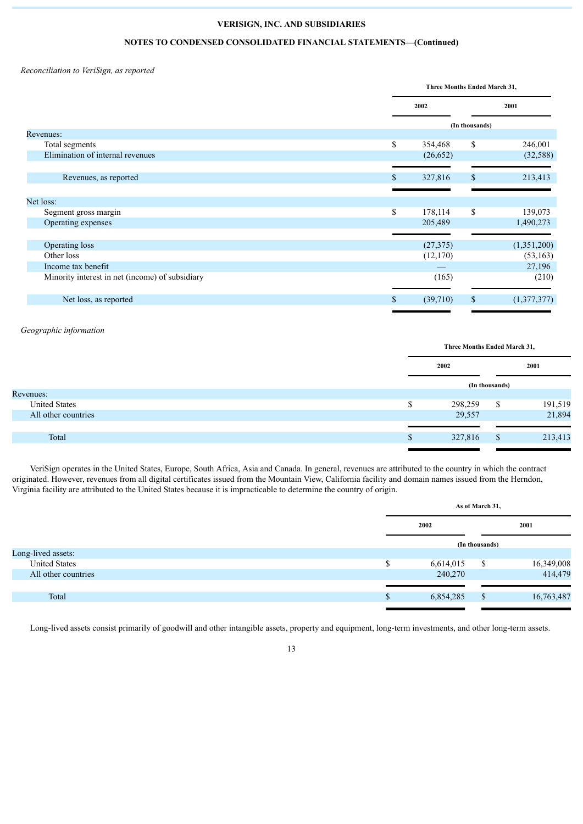# **NOTES TO CONDENSED CONSOLIDATED FINANCIAL STATEMENTS—(Continued)**

*Reconciliation to VeriSign, as reported*

|                                                 | Three Months Ended March 31, |           |                |             |
|-------------------------------------------------|------------------------------|-----------|----------------|-------------|
|                                                 |                              | 2002      |                | 2001        |
|                                                 |                              |           | (In thousands) |             |
| Revenues:                                       |                              |           |                |             |
| Total segments                                  | \$                           | 354,468   | \$             | 246,001     |
| Elimination of internal revenues                |                              | (26, 652) |                | (32, 588)   |
|                                                 |                              |           |                |             |
| Revenues, as reported                           | \$                           | 327,816   | \$             | 213,413     |
|                                                 |                              |           |                |             |
| Net loss:                                       |                              |           |                |             |
| Segment gross margin                            | \$                           | 178,114   | \$             | 139,073     |
| Operating expenses                              |                              | 205,489   |                | 1,490,273   |
|                                                 |                              |           |                |             |
| Operating loss                                  |                              | (27, 375) |                | (1,351,200) |
| Other loss                                      |                              | (12,170)  |                | (53, 163)   |
| Income tax benefit                              |                              |           |                | 27,196      |
| Minority interest in net (income) of subsidiary |                              | (165)     |                | (210)       |
|                                                 |                              |           |                |             |
| Net loss, as reported                           | \$                           | (39,710)  | \$             | (1,377,377) |
|                                                 |                              |           |                |             |

*Geographic information*

|                      | Three Months Ended March 31, |                |         |  |
|----------------------|------------------------------|----------------|---------|--|
|                      | 2002                         |                | 2001    |  |
|                      |                              | (In thousands) |         |  |
| Revenues:            |                              |                |         |  |
| <b>United States</b> | 298,259                      | S.             | 191,519 |  |
| All other countries  | 29,557                       |                | 21,894  |  |
|                      |                              |                |         |  |
| Total                | 327,816                      | <sup>\$</sup>  | 213,413 |  |
|                      |                              |                |         |  |

VeriSign operates in the United States, Europe, South Africa, Asia and Canada. In general, revenues are attributed to the country in which the contract originated. However, revenues from all digital certificates issued from the Mountain View, California facility and domain names issued from the Herndon, Virginia facility are attributed to the United States because it is impracticable to determine the country of origin.

|                      |               | As of March 31, |                |            |  |  |
|----------------------|---------------|-----------------|----------------|------------|--|--|
|                      |               | 2002            |                | 2001       |  |  |
|                      |               |                 | (In thousands) |            |  |  |
| Long-lived assets:   |               |                 |                |            |  |  |
| <b>United States</b> | \$            | 6,614,015       | - \$           | 16,349,008 |  |  |
| All other countries  |               | 240,270         |                | 414,479    |  |  |
|                      |               |                 |                |            |  |  |
| Total                | <sup>\$</sup> | 6,854,285       | <sup>\$</sup>  | 16,763,487 |  |  |
|                      |               |                 |                |            |  |  |

Long-lived assets consist primarily of goodwill and other intangible assets, property and equipment, long-term investments, and other long-term assets.

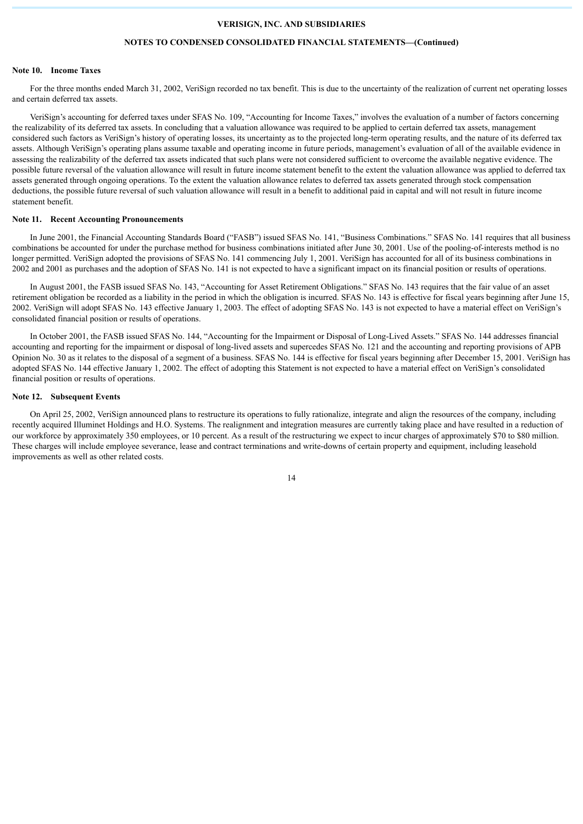#### **NOTES TO CONDENSED CONSOLIDATED FINANCIAL STATEMENTS—(Continued)**

#### **Note 10. Income Taxes**

For the three months ended March 31, 2002, VeriSign recorded no tax benefit. This is due to the uncertainty of the realization of current net operating losses and certain deferred tax assets.

VeriSign's accounting for deferred taxes under SFAS No. 109, "Accounting for Income Taxes," involves the evaluation of a number of factors concerning the realizability of its deferred tax assets. In concluding that a valuation allowance was required to be applied to certain deferred tax assets, management considered such factors as VeriSign's history of operating losses, its uncertainty as to the projected long-term operating results, and the nature of its deferred tax assets. Although VeriSign's operating plans assume taxable and operating income in future periods, management's evaluation of all of the available evidence in assessing the realizability of the deferred tax assets indicated that such plans were not considered sufficient to overcome the available negative evidence. The possible future reversal of the valuation allowance will result in future income statement benefit to the extent the valuation allowance was applied to deferred tax assets generated through ongoing operations. To the extent the valuation allowance relates to deferred tax assets generated through stock compensation deductions, the possible future reversal of such valuation allowance will result in a benefit to additional paid in capital and will not result in future income statement benefit.

#### **Note 11. Recent Accounting Pronouncements**

In June 2001, the Financial Accounting Standards Board ("FASB") issued SFAS No. 141, "Business Combinations." SFAS No. 141 requires that all business combinations be accounted for under the purchase method for business combinations initiated after June 30, 2001. Use of the pooling-of-interests method is no longer permitted. VeriSign adopted the provisions of SFAS No. 141 commencing July 1, 2001. VeriSign has accounted for all of its business combinations in 2002 and 2001 as purchases and the adoption of SFAS No. 141 is not expected to have a significant impact on its financial position or results of operations.

In August 2001, the FASB issued SFAS No. 143, "Accounting for Asset Retirement Obligations." SFAS No. 143 requires that the fair value of an asset retirement obligation be recorded as a liability in the period in which the obligation is incurred. SFAS No. 143 is effective for fiscal years beginning after June 15, 2002. VeriSign will adopt SFAS No. 143 effective January 1, 2003. The effect of adopting SFAS No. 143 is not expected to have a material effect on VeriSign's consolidated financial position or results of operations.

In October 2001, the FASB issued SFAS No. 144, "Accounting for the Impairment or Disposal of Long-Lived Assets." SFAS No. 144 addresses financial accounting and reporting for the impairment or disposal of long-lived assets and supercedes SFAS No. 121 and the accounting and reporting provisions of APB Opinion No. 30 as it relates to the disposal of a segment of a business. SFAS No. 144 is effective for fiscal years beginning after December 15, 2001. VeriSign has adopted SFAS No. 144 effective January 1, 2002. The effect of adopting this Statement is not expected to have a material effect on VeriSign's consolidated financial position or results of operations.

#### **Note 12. Subsequent Events**

On April 25, 2002, VeriSign announced plans to restructure its operations to fully rationalize, integrate and align the resources of the company, including recently acquired Illuminet Holdings and H.O. Systems. The realignment and integration measures are currently taking place and have resulted in a reduction of our workforce by approximately 350 employees, or 10 percent. As a result of the restructuring we expect to incur charges of approximately \$70 to \$80 million. These charges will include employee severance, lease and contract terminations and write-downs of certain property and equipment, including leasehold improvements as well as other related costs.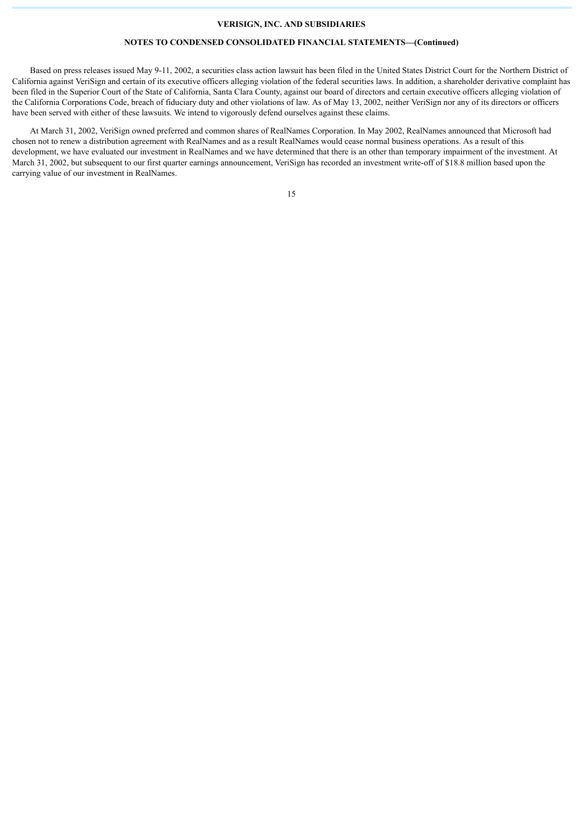# **NOTES TO CONDENSED CONSOLIDATED FINANCIAL STATEMENTS—(Continued)**

Based on press releases issued May 9-11, 2002, a securities class action lawsuit has been filed in the United States District Court for the Northern District of California against VeriSign and certain of its executive officers alleging violation of the federal securities laws. In addition, a shareholder derivative complaint has been filed in the Superior Court of the State of California, Santa Clara County, against our board of directors and certain executive officers alleging violation of the California Corporations Code, breach of fiduciary duty and other violations of law. As of May 13, 2002, neither VeriSign nor any of its directors or officers have been served with either of these lawsuits. We intend to vigorously defend ourselves against these claims.

At March 31, 2002, VeriSign owned preferred and common shares of RealNames Corporation. In May 2002, RealNames announced that Microsoft had chosen not to renew a distribution agreement with RealNames and as a result RealNames would cease normal business operations. As a result of this development, we have evaluated our investment in RealNames and we have determined that there is an other than temporary impairment of the investment. At March 31, 2002, but subsequent to our first quarter earnings announcement, VeriSign has recorded an investment write-off of \$18.8 million based upon the carrying value of our investment in RealNames.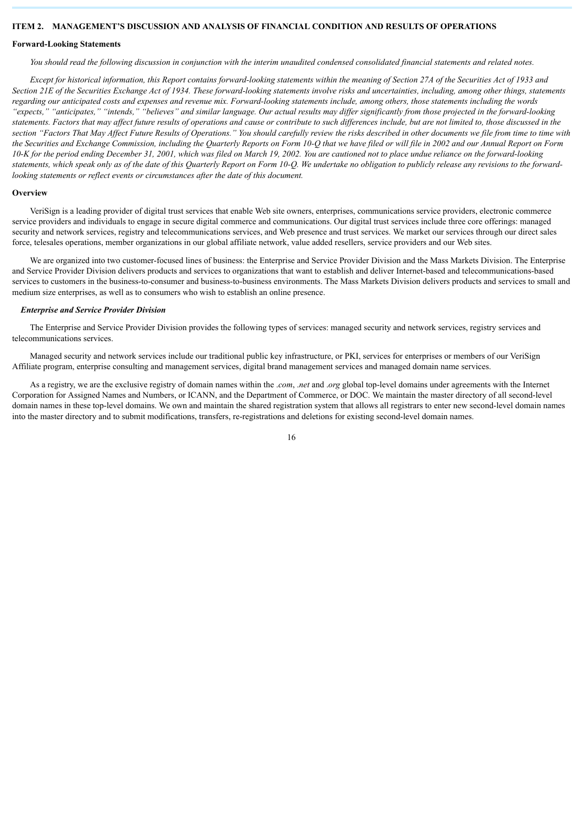# <span id="page-15-0"></span>**ITEM 2. MANAGEMENT'S DISCUSSION AND ANALYSIS OF FINANCIAL CONDITION AND RESULTS OF OPERATIONS**

#### **Forward-Looking Statements**

*You should read the following discussion in conjunction with the interim unaudited condensed consolidated financial statements and related notes.*

*Except for historical information, this Report contains forward-looking statements within the meaning of Section 27A of the Securities Act of 1933 and Section 21E of the Securities Exchange Act of 1934. These forward-looking statements involve risks and uncertainties, including, among other things, statements regarding our anticipated costs and expenses and revenue mix. Forward-looking statements include, among others, those statements including the words "expects," "anticipates," "intends," "believes" and similar language. Our actual results may differ significantly from those projected in the forward-looking statements. Factors that may affect future results of operations and cause or contribute to such differences include, but are not limited to, those discussed in the section "Factors That May Affect Future Results of Operations." You should carefully review the risks described in other documents we file from time to time with the Securities and Exchange Commission, including the Quarterly Reports on Form 10-Q that we have filed or will file in 2002 and our Annual Report on Form 10-K for the period ending December 31, 2001, which was filed on March 19, 2002. You are cautioned not to place undue reliance on the forward-looking statements, which speak only as of the date of this Quarterly Report on Form 10-Q. We undertake no obligation to publicly release any revisions to the forwardlooking statements or reflect events or circumstances after the date of this document.*

#### **Overview**

VeriSign is a leading provider of digital trust services that enable Web site owners, enterprises, communications service providers, electronic commerce service providers and individuals to engage in secure digital commerce and communications. Our digital trust services include three core offerings: managed security and network services, registry and telecommunications services, and Web presence and trust services. We market our services through our direct sales force, telesales operations, member organizations in our global affiliate network, value added resellers, service providers and our Web sites.

We are organized into two customer-focused lines of business: the Enterprise and Service Provider Division and the Mass Markets Division. The Enterprise and Service Provider Division delivers products and services to organizations that want to establish and deliver Internet-based and telecommunications-based services to customers in the business-to-consumer and business-to-business environments. The Mass Markets Division delivers products and services to small and medium size enterprises, as well as to consumers who wish to establish an online presence.

### *Enterprise and Service Provider Division*

The Enterprise and Service Provider Division provides the following types of services: managed security and network services, registry services and telecommunications services.

Managed security and network services include our traditional public key infrastructure, or PKI, services for enterprises or members of our VeriSign Affiliate program, enterprise consulting and management services, digital brand management services and managed domain name services.

As a registry, we are the exclusive registry of domain names within the .*com*, .*net* and .*org* global top-level domains under agreements with the Internet Corporation for Assigned Names and Numbers, or ICANN, and the Department of Commerce, or DOC. We maintain the master directory of all second-level domain names in these top-level domains. We own and maintain the shared registration system that allows all registrars to enter new second-level domain names into the master directory and to submit modifications, transfers, re-registrations and deletions for existing second-level domain names.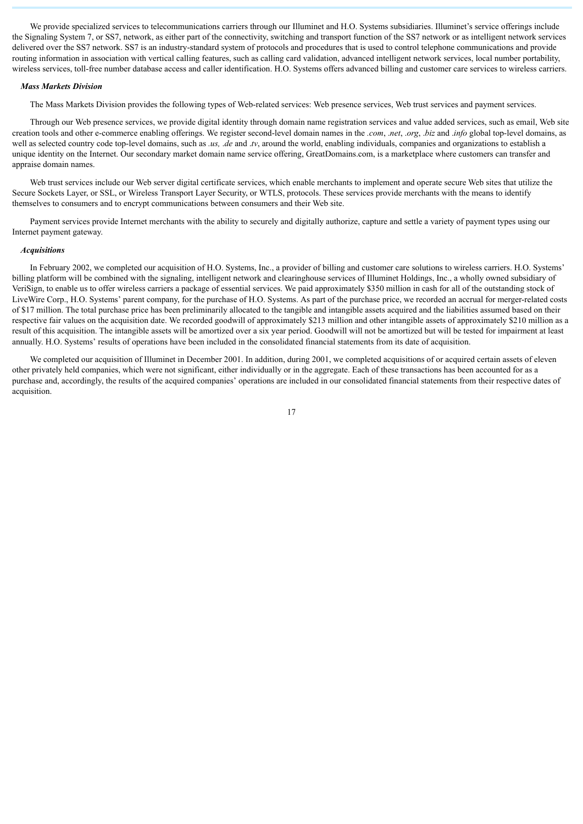We provide specialized services to telecommunications carriers through our Illuminet and H.O. Systems subsidiaries. Illuminet's service offerings include the Signaling System 7, or SS7, network, as either part of the connectivity, switching and transport function of the SS7 network or as intelligent network services delivered over the SS7 network. SS7 is an industry-standard system of protocols and procedures that is used to control telephone communications and provide routing information in association with vertical calling features, such as calling card validation, advanced intelligent network services, local number portability, wireless services, toll-free number database access and caller identification. H.O. Systems offers advanced billing and customer care services to wireless carriers.

#### *Mass Markets Division*

The Mass Markets Division provides the following types of Web-related services: Web presence services, Web trust services and payment services.

Through our Web presence services, we provide digital identity through domain name registration services and value added services, such as email, Web site creation tools and other e-commerce enabling offerings. We register second-level domain names in the *.com*, .*net*, .*org*, .*biz* and .*info* global top-level domains, as well as selected country code top-level domains, such as *.us, .de* and *.tv*, around the world, enabling individuals, companies and organizations to establish a unique identity on the Internet. Our secondary market domain name service offering, GreatDomains.com, is a marketplace where customers can transfer and appraise domain names.

Web trust services include our Web server digital certificate services, which enable merchants to implement and operate secure Web sites that utilize the Secure Sockets Layer, or SSL, or Wireless Transport Layer Security, or WTLS, protocols. These services provide merchants with the means to identify themselves to consumers and to encrypt communications between consumers and their Web site.

Payment services provide Internet merchants with the ability to securely and digitally authorize, capture and settle a variety of payment types using our Internet payment gateway.

#### *Acquisitions*

In February 2002, we completed our acquisition of H.O. Systems, Inc., a provider of billing and customer care solutions to wireless carriers. H.O. Systems' billing platform will be combined with the signaling, intelligent network and clearinghouse services of Illuminet Holdings, Inc., a wholly owned subsidiary of VeriSign, to enable us to offer wireless carriers a package of essential services. We paid approximately \$350 million in cash for all of the outstanding stock of LiveWire Corp., H.O. Systems' parent company, for the purchase of H.O. Systems. As part of the purchase price, we recorded an accrual for merger-related costs of \$17 million. The total purchase price has been preliminarily allocated to the tangible and intangible assets acquired and the liabilities assumed based on their respective fair values on the acquisition date. We recorded goodwill of approximately \$213 million and other intangible assets of approximately \$210 million as a result of this acquisition. The intangible assets will be amortized over a six year period. Goodwill will not be amortized but will be tested for impairment at least annually. H.O. Systems' results of operations have been included in the consolidated financial statements from its date of acquisition.

We completed our acquisition of Illuminet in December 2001. In addition, during 2001, we completed acquisitions of or acquired certain assets of eleven other privately held companies, which were not significant, either individually or in the aggregate. Each of these transactions has been accounted for as a purchase and, accordingly, the results of the acquired companies' operations are included in our consolidated financial statements from their respective dates of acquisition.

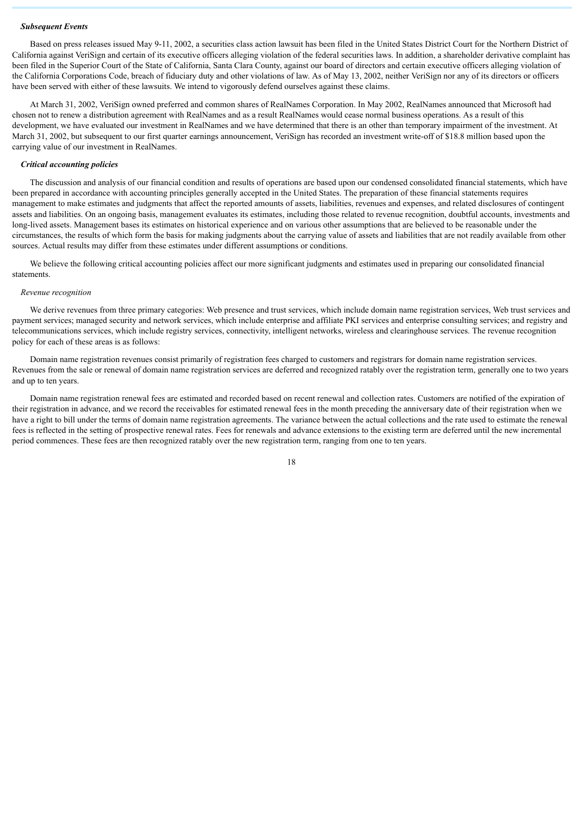#### *Subsequent Events*

Based on press releases issued May 9-11, 2002, a securities class action lawsuit has been filed in the United States District Court for the Northern District of California against VeriSign and certain of its executive officers alleging violation of the federal securities laws. In addition, a shareholder derivative complaint has been filed in the Superior Court of the State of California, Santa Clara County, against our board of directors and certain executive officers alleging violation of the California Corporations Code, breach of fiduciary duty and other violations of law. As of May 13, 2002, neither VeriSign nor any of its directors or officers have been served with either of these lawsuits. We intend to vigorously defend ourselves against these claims.

At March 31, 2002, VeriSign owned preferred and common shares of RealNames Corporation. In May 2002, RealNames announced that Microsoft had chosen not to renew a distribution agreement with RealNames and as a result RealNames would cease normal business operations. As a result of this development, we have evaluated our investment in RealNames and we have determined that there is an other than temporary impairment of the investment. At March 31, 2002, but subsequent to our first quarter earnings announcement, VeriSign has recorded an investment write-off of \$18.8 million based upon the carrying value of our investment in RealNames.

# *Critical accounting policies*

The discussion and analysis of our financial condition and results of operations are based upon our condensed consolidated financial statements, which have been prepared in accordance with accounting principles generally accepted in the United States. The preparation of these financial statements requires management to make estimates and judgments that affect the reported amounts of assets, liabilities, revenues and expenses, and related disclosures of contingent assets and liabilities. On an ongoing basis, management evaluates its estimates, including those related to revenue recognition, doubtful accounts, investments and long-lived assets. Management bases its estimates on historical experience and on various other assumptions that are believed to be reasonable under the circumstances, the results of which form the basis for making judgments about the carrying value of assets and liabilities that are not readily available from other sources. Actual results may differ from these estimates under different assumptions or conditions.

We believe the following critical accounting policies affect our more significant judgments and estimates used in preparing our consolidated financial statements.

#### *Revenue recognition*

We derive revenues from three primary categories: Web presence and trust services, which include domain name registration services, Web trust services and payment services; managed security and network services, which include enterprise and affiliate PKI services and enterprise consulting services; and registry and telecommunications services, which include registry services, connectivity, intelligent networks, wireless and clearinghouse services. The revenue recognition policy for each of these areas is as follows:

Domain name registration revenues consist primarily of registration fees charged to customers and registrars for domain name registration services. Revenues from the sale or renewal of domain name registration services are deferred and recognized ratably over the registration term, generally one to two years and up to ten years.

Domain name registration renewal fees are estimated and recorded based on recent renewal and collection rates. Customers are notified of the expiration of their registration in advance, and we record the receivables for estimated renewal fees in the month preceding the anniversary date of their registration when we have a right to bill under the terms of domain name registration agreements. The variance between the actual collections and the rate used to estimate the renewal fees is reflected in the setting of prospective renewal rates. Fees for renewals and advance extensions to the existing term are deferred until the new incremental period commences. These fees are then recognized ratably over the new registration term, ranging from one to ten years.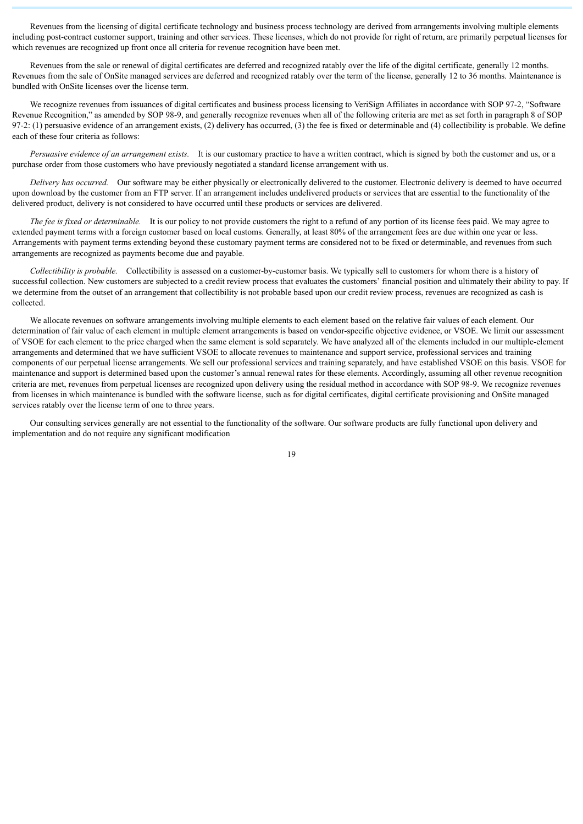Revenues from the licensing of digital certificate technology and business process technology are derived from arrangements involving multiple elements including post-contract customer support, training and other services. These licenses, which do not provide for right of return, are primarily perpetual licenses for which revenues are recognized up front once all criteria for revenue recognition have been met.

Revenues from the sale or renewal of digital certificates are deferred and recognized ratably over the life of the digital certificate, generally 12 months. Revenues from the sale of OnSite managed services are deferred and recognized ratably over the term of the license, generally 12 to 36 months. Maintenance is bundled with OnSite licenses over the license term.

We recognize revenues from issuances of digital certificates and business process licensing to VeriSign Affiliates in accordance with SOP 97-2, "Software Revenue Recognition," as amended by SOP 98-9, and generally recognize revenues when all of the following criteria are met as set forth in paragraph 8 of SOP 97-2: (1) persuasive evidence of an arrangement exists, (2) delivery has occurred, (3) the fee is fixed or determinable and (4) collectibility is probable. We define each of these four criteria as follows:

*Persuasive evidence of an arrangement exists.* It is our customary practice to have a written contract, which is signed by both the customer and us, or a purchase order from those customers who have previously negotiated a standard license arrangement with us.

*Delivery has occurred.* Our software may be either physically or electronically delivered to the customer. Electronic delivery is deemed to have occurred upon download by the customer from an FTP server. If an arrangement includes undelivered products or services that are essential to the functionality of the delivered product, delivery is not considered to have occurred until these products or services are delivered.

*The fee is fixed or determinable.* It is our policy to not provide customers the right to a refund of any portion of its license fees paid. We may agree to extended payment terms with a foreign customer based on local customs. Generally, at least 80% of the arrangement fees are due within one year or less. Arrangements with payment terms extending beyond these customary payment terms are considered not to be fixed or determinable, and revenues from such arrangements are recognized as payments become due and payable.

*Collectibility is probable.* Collectibility is assessed on a customer-by-customer basis. We typically sell to customers for whom there is a history of successful collection. New customers are subjected to a credit review process that evaluates the customers' financial position and ultimately their ability to pay. If we determine from the outset of an arrangement that collectibility is not probable based upon our credit review process, revenues are recognized as cash is collected.

We allocate revenues on software arrangements involving multiple elements to each element based on the relative fair values of each element. Our determination of fair value of each element in multiple element arrangements is based on vendor-specific objective evidence, or VSOE. We limit our assessment of VSOE for each element to the price charged when the same element is sold separately. We have analyzed all of the elements included in our multiple-element arrangements and determined that we have sufficient VSOE to allocate revenues to maintenance and support service, professional services and training components of our perpetual license arrangements. We sell our professional services and training separately, and have established VSOE on this basis. VSOE for maintenance and support is determined based upon the customer's annual renewal rates for these elements. Accordingly, assuming all other revenue recognition criteria are met, revenues from perpetual licenses are recognized upon delivery using the residual method in accordance with SOP 98-9. We recognize revenues from licenses in which maintenance is bundled with the software license, such as for digital certificates, digital certificate provisioning and OnSite managed services ratably over the license term of one to three years.

Our consulting services generally are not essential to the functionality of the software. Our software products are fully functional upon delivery and implementation and do not require any significant modification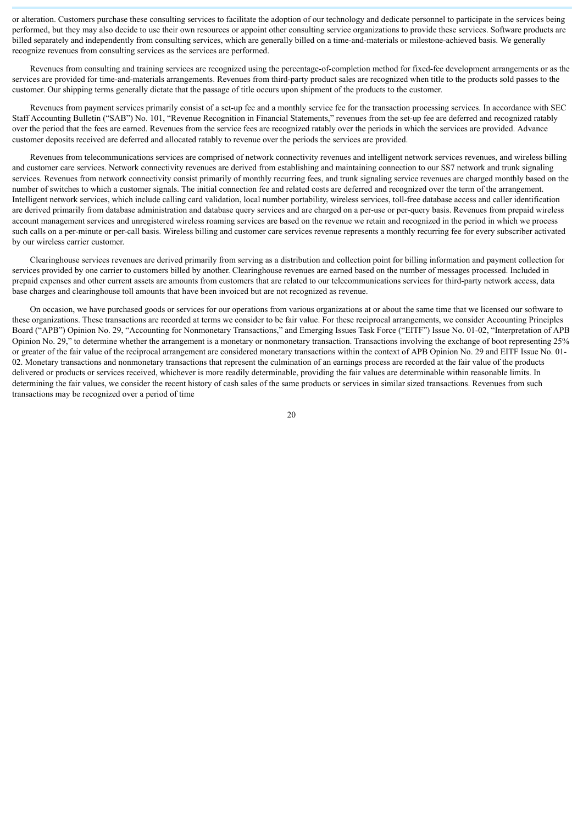or alteration. Customers purchase these consulting services to facilitate the adoption of our technology and dedicate personnel to participate in the services being performed, but they may also decide to use their own resources or appoint other consulting service organizations to provide these services. Software products are billed separately and independently from consulting services, which are generally billed on a time-and-materials or milestone-achieved basis. We generally recognize revenues from consulting services as the services are performed.

Revenues from consulting and training services are recognized using the percentage-of-completion method for fixed-fee development arrangements or as the services are provided for time-and-materials arrangements. Revenues from third-party product sales are recognized when title to the products sold passes to the customer. Our shipping terms generally dictate that the passage of title occurs upon shipment of the products to the customer.

Revenues from payment services primarily consist of a set-up fee and a monthly service fee for the transaction processing services. In accordance with SEC Staff Accounting Bulletin ("SAB") No. 101, "Revenue Recognition in Financial Statements," revenues from the set-up fee are deferred and recognized ratably over the period that the fees are earned. Revenues from the service fees are recognized ratably over the periods in which the services are provided. Advance customer deposits received are deferred and allocated ratably to revenue over the periods the services are provided.

Revenues from telecommunications services are comprised of network connectivity revenues and intelligent network services revenues, and wireless billing and customer care services. Network connectivity revenues are derived from establishing and maintaining connection to our SS7 network and trunk signaling services. Revenues from network connectivity consist primarily of monthly recurring fees, and trunk signaling service revenues are charged monthly based on the number of switches to which a customer signals. The initial connection fee and related costs are deferred and recognized over the term of the arrangement. Intelligent network services, which include calling card validation, local number portability, wireless services, toll-free database access and caller identification are derived primarily from database administration and database query services and are charged on a per-use or per-query basis. Revenues from prepaid wireless account management services and unregistered wireless roaming services are based on the revenue we retain and recognized in the period in which we process such calls on a per-minute or per-call basis. Wireless billing and customer care services revenue represents a monthly recurring fee for every subscriber activated by our wireless carrier customer.

Clearinghouse services revenues are derived primarily from serving as a distribution and collection point for billing information and payment collection for services provided by one carrier to customers billed by another. Clearinghouse revenues are earned based on the number of messages processed. Included in prepaid expenses and other current assets are amounts from customers that are related to our telecommunications services for third-party network access, data base charges and clearinghouse toll amounts that have been invoiced but are not recognized as revenue.

On occasion, we have purchased goods or services for our operations from various organizations at or about the same time that we licensed our software to these organizations. These transactions are recorded at terms we consider to be fair value. For these reciprocal arrangements, we consider Accounting Principles Board ("APB") Opinion No. 29, "Accounting for Nonmonetary Transactions," and Emerging Issues Task Force ("EITF") Issue No. 01-02, "Interpretation of APB Opinion No. 29," to determine whether the arrangement is a monetary or nonmonetary transaction. Transactions involving the exchange of boot representing 25% or greater of the fair value of the reciprocal arrangement are considered monetary transactions within the context of APB Opinion No. 29 and EITF Issue No. 01- 02. Monetary transactions and nonmonetary transactions that represent the culmination of an earnings process are recorded at the fair value of the products delivered or products or services received, whichever is more readily determinable, providing the fair values are determinable within reasonable limits. In determining the fair values, we consider the recent history of cash sales of the same products or services in similar sized transactions. Revenues from such transactions may be recognized over a period of time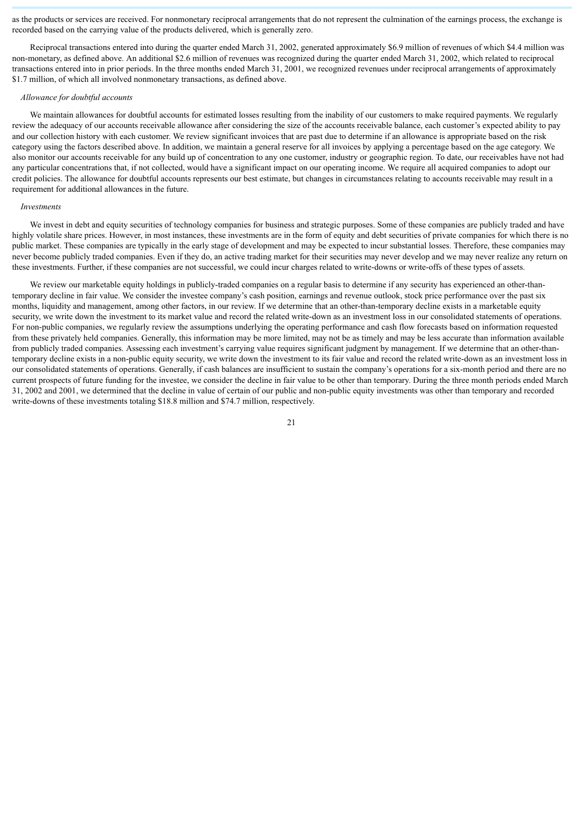as the products or services are received. For nonmonetary reciprocal arrangements that do not represent the culmination of the earnings process, the exchange is recorded based on the carrying value of the products delivered, which is generally zero.

Reciprocal transactions entered into during the quarter ended March 31, 2002, generated approximately \$6.9 million of revenues of which \$4.4 million was non-monetary, as defined above. An additional \$2.6 million of revenues was recognized during the quarter ended March 31, 2002, which related to reciprocal transactions entered into in prior periods. In the three months ended March 31, 2001, we recognized revenues under reciprocal arrangements of approximately \$1.7 million, of which all involved nonmonetary transactions, as defined above.

#### *Allowance for doubtful accounts*

We maintain allowances for doubtful accounts for estimated losses resulting from the inability of our customers to make required payments. We regularly review the adequacy of our accounts receivable allowance after considering the size of the accounts receivable balance, each customer's expected ability to pay and our collection history with each customer. We review significant invoices that are past due to determine if an allowance is appropriate based on the risk category using the factors described above. In addition, we maintain a general reserve for all invoices by applying a percentage based on the age category. We also monitor our accounts receivable for any build up of concentration to any one customer, industry or geographic region. To date, our receivables have not had any particular concentrations that, if not collected, would have a significant impact on our operating income. We require all acquired companies to adopt our credit policies. The allowance for doubtful accounts represents our best estimate, but changes in circumstances relating to accounts receivable may result in a requirement for additional allowances in the future.

#### *Investments*

We invest in debt and equity securities of technology companies for business and strategic purposes. Some of these companies are publicly traded and have highly volatile share prices. However, in most instances, these investments are in the form of equity and debt securities of private companies for which there is no public market. These companies are typically in the early stage of development and may be expected to incur substantial losses. Therefore, these companies may never become publicly traded companies. Even if they do, an active trading market for their securities may never develop and we may never realize any return on these investments. Further, if these companies are not successful, we could incur charges related to write-downs or write-offs of these types of assets.

We review our marketable equity holdings in publicly-traded companies on a regular basis to determine if any security has experienced an other-thantemporary decline in fair value. We consider the investee company's cash position, earnings and revenue outlook, stock price performance over the past six months, liquidity and management, among other factors, in our review. If we determine that an other-than-temporary decline exists in a marketable equity security, we write down the investment to its market value and record the related write-down as an investment loss in our consolidated statements of operations. For non-public companies, we regularly review the assumptions underlying the operating performance and cash flow forecasts based on information requested from these privately held companies. Generally, this information may be more limited, may not be as timely and may be less accurate than information available from publicly traded companies. Assessing each investment's carrying value requires significant judgment by management. If we determine that an other-thantemporary decline exists in a non-public equity security, we write down the investment to its fair value and record the related write-down as an investment loss in our consolidated statements of operations. Generally, if cash balances are insufficient to sustain the company's operations for a six-month period and there are no current prospects of future funding for the investee, we consider the decline in fair value to be other than temporary. During the three month periods ended March 31, 2002 and 2001, we determined that the decline in value of certain of our public and non-public equity investments was other than temporary and recorded write-downs of these investments totaling \$18.8 million and \$74.7 million, respectively.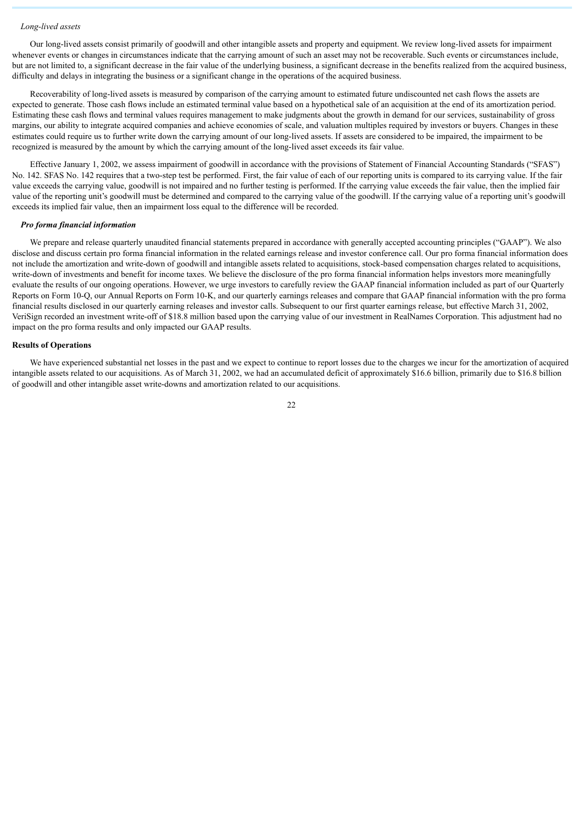#### *Long-lived assets*

Our long-lived assets consist primarily of goodwill and other intangible assets and property and equipment. We review long-lived assets for impairment whenever events or changes in circumstances indicate that the carrying amount of such an asset may not be recoverable. Such events or circumstances include, but are not limited to, a significant decrease in the fair value of the underlying business, a significant decrease in the benefits realized from the acquired business, difficulty and delays in integrating the business or a significant change in the operations of the acquired business.

Recoverability of long-lived assets is measured by comparison of the carrying amount to estimated future undiscounted net cash flows the assets are expected to generate. Those cash flows include an estimated terminal value based on a hypothetical sale of an acquisition at the end of its amortization period. Estimating these cash flows and terminal values requires management to make judgments about the growth in demand for our services, sustainability of gross margins, our ability to integrate acquired companies and achieve economies of scale, and valuation multiples required by investors or buyers. Changes in these estimates could require us to further write down the carrying amount of our long-lived assets. If assets are considered to be impaired, the impairment to be recognized is measured by the amount by which the carrying amount of the long-lived asset exceeds its fair value.

Effective January 1, 2002, we assess impairment of goodwill in accordance with the provisions of Statement of Financial Accounting Standards ("SFAS") No. 142. SFAS No. 142 requires that a two-step test be performed. First, the fair value of each of our reporting units is compared to its carrying value. If the fair value exceeds the carrying value, goodwill is not impaired and no further testing is performed. If the carrying value exceeds the fair value, then the implied fair value of the reporting unit's goodwill must be determined and compared to the carrying value of the goodwill. If the carrying value of a reporting unit's goodwill exceeds its implied fair value, then an impairment loss equal to the difference will be recorded.

#### *Pro forma financial information*

We prepare and release quarterly unaudited financial statements prepared in accordance with generally accepted accounting principles ("GAAP"). We also disclose and discuss certain pro forma financial information in the related earnings release and investor conference call. Our pro forma financial information does not include the amortization and write-down of goodwill and intangible assets related to acquisitions, stock-based compensation charges related to acquisitions, write-down of investments and benefit for income taxes. We believe the disclosure of the pro forma financial information helps investors more meaningfully evaluate the results of our ongoing operations. However, we urge investors to carefully review the GAAP financial information included as part of our Quarterly Reports on Form 10-Q, our Annual Reports on Form 10-K, and our quarterly earnings releases and compare that GAAP financial information with the pro forma financial results disclosed in our quarterly earning releases and investor calls. Subsequent to our first quarter earnings release, but effective March 31, 2002, VeriSign recorded an investment write-off of \$18.8 million based upon the carrying value of our investment in RealNames Corporation. This adjustment had no impact on the pro forma results and only impacted our GAAP results.

#### **Results of Operations**

We have experienced substantial net losses in the past and we expect to continue to report losses due to the charges we incur for the amortization of acquired intangible assets related to our acquisitions. As of March 31, 2002, we had an accumulated deficit of approximately \$16.6 billion, primarily due to \$16.8 billion of goodwill and other intangible asset write-downs and amortization related to our acquisitions.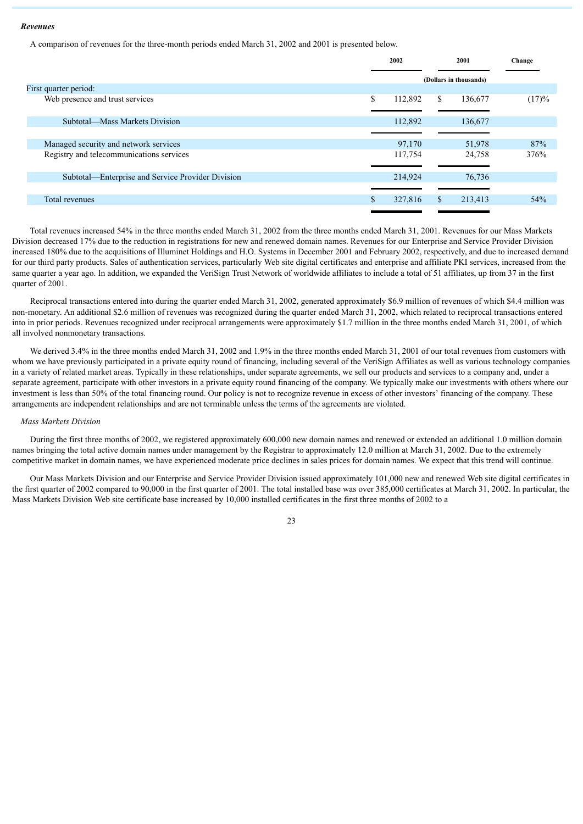#### *Revenues*

A comparison of revenues for the three-month periods ended March 31, 2002 and 2001 is presented below.

|                                                   |    | 2002    |    | 2001                   |       |  | Change |
|---------------------------------------------------|----|---------|----|------------------------|-------|--|--------|
|                                                   |    |         |    | (Dollars in thousands) |       |  |        |
| First quarter period:                             |    |         |    |                        |       |  |        |
| Web presence and trust services                   | \$ | 112,892 | \$ | 136,677                | (17)% |  |        |
| Subtotal—Mass Markets Division                    |    | 112,892 |    | 136,677                |       |  |        |
|                                                   |    |         |    |                        |       |  |        |
| Managed security and network services             |    | 97,170  |    | 51,978                 | 87%   |  |        |
| Registry and telecommunications services          |    | 117,754 |    | 24,758                 | 376%  |  |        |
|                                                   |    |         |    |                        |       |  |        |
| Subtotal—Enterprise and Service Provider Division |    | 214,924 |    | 76,736                 |       |  |        |
|                                                   |    |         |    |                        |       |  |        |
| Total revenues                                    |    | 327,816 | \$ | 213,413                | 54%   |  |        |
|                                                   |    |         |    |                        |       |  |        |

Total revenues increased 54% in the three months ended March 31, 2002 from the three months ended March 31, 2001. Revenues for our Mass Markets Division decreased 17% due to the reduction in registrations for new and renewed domain names. Revenues for our Enterprise and Service Provider Division increased 180% due to the acquisitions of Illuminet Holdings and H.O. Systems in December 2001 and February 2002, respectively, and due to increased demand for our third party products. Sales of authentication services, particularly Web site digital certificates and enterprise and affiliate PKI services, increased from the same quarter a year ago. In addition, we expanded the VeriSign Trust Network of worldwide affiliates to include a total of 51 affiliates, up from 37 in the first quarter of 2001.

Reciprocal transactions entered into during the quarter ended March 31, 2002, generated approximately \$6.9 million of revenues of which \$4.4 million was non-monetary. An additional \$2.6 million of revenues was recognized during the quarter ended March 31, 2002, which related to reciprocal transactions entered into in prior periods. Revenues recognized under reciprocal arrangements were approximately \$1.7 million in the three months ended March 31, 2001, of which all involved nonmonetary transactions.

We derived 3.4% in the three months ended March 31, 2002 and 1.9% in the three months ended March 31, 2001 of our total revenues from customers with whom we have previously participated in a private equity round of financing, including several of the VeriSign Affiliates as well as various technology companies in a variety of related market areas. Typically in these relationships, under separate agreements, we sell our products and services to a company and, under a separate agreement, participate with other investors in a private equity round financing of the company. We typically make our investments with others where our investment is less than 50% of the total financing round. Our policy is not to recognize revenue in excess of other investors' financing of the company. These arrangements are independent relationships and are not terminable unless the terms of the agreements are violated.

#### *Mass Markets Division*

During the first three months of 2002, we registered approximately 600,000 new domain names and renewed or extended an additional 1.0 million domain names bringing the total active domain names under management by the Registrar to approximately 12.0 million at March 31, 2002. Due to the extremely competitive market in domain names, we have experienced moderate price declines in sales prices for domain names. We expect that this trend will continue.

Our Mass Markets Division and our Enterprise and Service Provider Division issued approximately 101,000 new and renewed Web site digital certificates in the first quarter of 2002 compared to 90,000 in the first quarter of 2001. The total installed base was over 385,000 certificates at March 31, 2002. In particular, the Mass Markets Division Web site certificate base increased by 10,000 installed certificates in the first three months of 2002 to a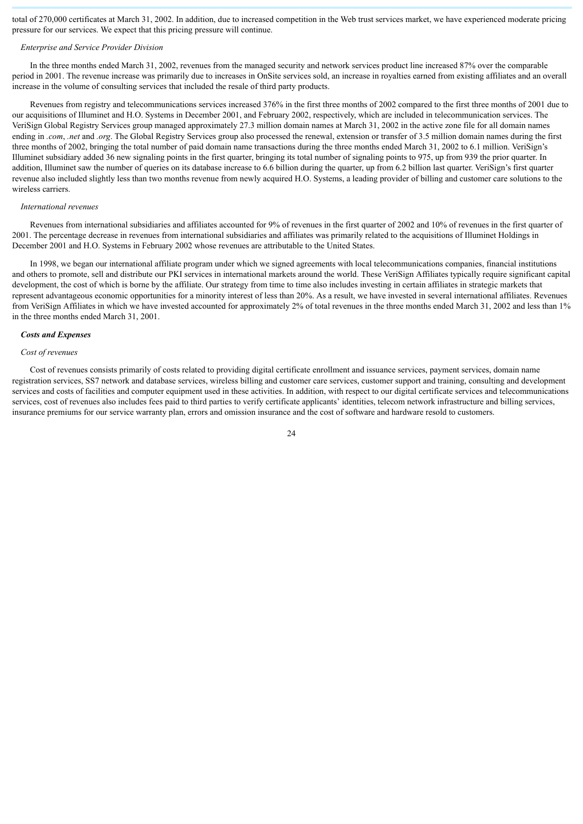total of 270,000 certificates at March 31, 2002. In addition, due to increased competition in the Web trust services market, we have experienced moderate pricing pressure for our services. We expect that this pricing pressure will continue.

#### *Enterprise and Service Provider Division*

In the three months ended March 31, 2002, revenues from the managed security and network services product line increased 87% over the comparable period in 2001. The revenue increase was primarily due to increases in OnSite services sold, an increase in royalties earned from existing affiliates and an overall increase in the volume of consulting services that included the resale of third party products.

Revenues from registry and telecommunications services increased 376% in the first three months of 2002 compared to the first three months of 2001 due to our acquisitions of Illuminet and H.O. Systems in December 2001, and February 2002, respectively, which are included in telecommunication services. The VeriSign Global Registry Services group managed approximately 27.3 million domain names at March 31, 2002 in the active zone file for all domain names ending in *.com*, *.net* and *.org*. The Global Registry Services group also processed the renewal, extension or transfer of 3.5 million domain names during the first three months of 2002, bringing the total number of paid domain name transactions during the three months ended March 31, 2002 to 6.1 million. VeriSign's Illuminet subsidiary added 36 new signaling points in the first quarter, bringing its total number of signaling points to 975, up from 939 the prior quarter. In addition. Illuminet saw the number of queries on its database increase to 6.6 billion during the quarter, up from 6.2 billion last quarter. VeriSign's first quarter revenue also included slightly less than two months revenue from newly acquired H.O. Systems, a leading provider of billing and customer care solutions to the wireless carriers.

#### *International revenues*

Revenues from international subsidiaries and affiliates accounted for 9% of revenues in the first quarter of 2002 and 10% of revenues in the first quarter of 2001. The percentage decrease in revenues from international subsidiaries and affiliates was primarily related to the acquisitions of Illuminet Holdings in December 2001 and H.O. Systems in February 2002 whose revenues are attributable to the United States.

In 1998, we began our international affiliate program under which we signed agreements with local telecommunications companies, financial institutions and others to promote, sell and distribute our PKI services in international markets around the world. These VeriSign Affiliates typically require significant capital development, the cost of which is borne by the affiliate. Our strategy from time to time also includes investing in certain affiliates in strategic markets that represent advantageous economic opportunities for a minority interest of less than 20%. As a result, we have invested in several international affiliates. Revenues from VeriSign Affiliates in which we have invested accounted for approximately 2% of total revenues in the three months ended March 31, 2002 and less than 1% in the three months ended March 31, 2001.

#### *Costs and Expenses*

#### *Cost of revenues*

Cost of revenues consists primarily of costs related to providing digital certificate enrollment and issuance services, payment services, domain name registration services, SS7 network and database services, wireless billing and customer care services, customer support and training, consulting and development services and costs of facilities and computer equipment used in these activities. In addition, with respect to our digital certificate services and telecommunications services, cost of revenues also includes fees paid to third parties to verify certificate applicants' identities, telecom network infrastructure and billing services, insurance premiums for our service warranty plan, errors and omission insurance and the cost of software and hardware resold to customers.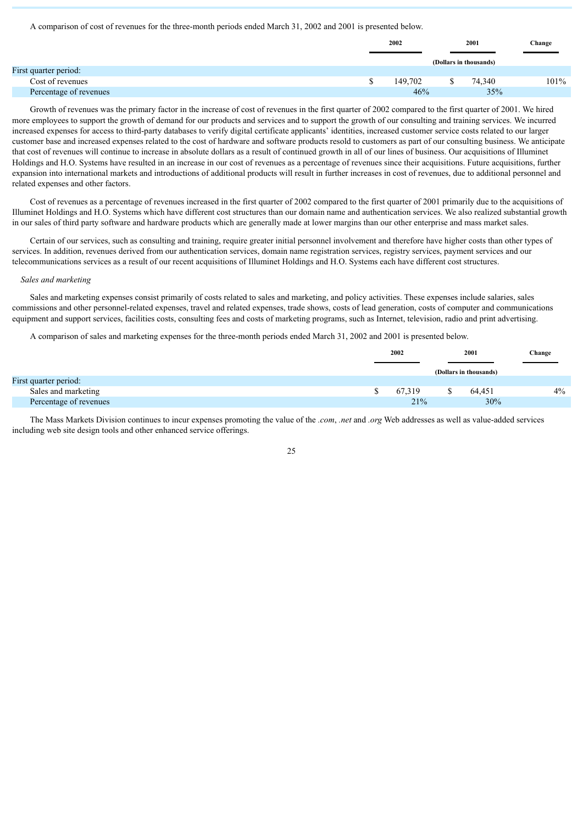#### A comparison of cost of revenues for the three-month periods ended March 31, 2002 and 2001 is presented below.

|                        | 2002 |         | 2001                   | Change  |
|------------------------|------|---------|------------------------|---------|
|                        |      |         | (Dollars in thousands) |         |
| First quarter period:  |      |         |                        |         |
| Cost of revenues       |      | 149.702 | 74.340                 | $101\%$ |
| Percentage of revenues |      | 46%     | 35%                    |         |

Growth of revenues was the primary factor in the increase of cost of revenues in the first quarter of 2002 compared to the first quarter of 2001. We hired more employees to support the growth of demand for our products and services and to support the growth of our consulting and training services. We incurred increased expenses for access to third-party databases to verify digital certificate applicants' identities, increased customer service costs related to our larger customer base and increased expenses related to the cost of hardware and software products resold to customers as part of our consulting business. We anticipate that cost of revenues will continue to increase in absolute dollars as a result of continued growth in all of our lines of business. Our acquisitions of Illuminet Holdings and H.O. Systems have resulted in an increase in our cost of revenues as a percentage of revenues since their acquisitions. Future acquisitions, further expansion into international markets and introductions of additional products will result in further increases in cost of revenues, due to additional personnel and related expenses and other factors.

Cost of revenues as a percentage of revenues increased in the first quarter of 2002 compared to the first quarter of 2001 primarily due to the acquisitions of Illuminet Holdings and H.O. Systems which have different cost structures than our domain name and authentication services. We also realized substantial growth in our sales of third party software and hardware products which are generally made at lower margins than our other enterprise and mass market sales.

Certain of our services, such as consulting and training, require greater initial personnel involvement and therefore have higher costs than other types of services. In addition, revenues derived from our authentication services, domain name registration services, registry services, payment services and our telecommunications services as a result of our recent acquisitions of Illuminet Holdings and H.O. Systems each have different cost structures.

#### *Sales and marketing*

Sales and marketing expenses consist primarily of costs related to sales and marketing, and policy activities. These expenses include salaries, sales commissions and other personnel-related expenses, travel and related expenses, trade shows, costs of lead generation, costs of computer and communications equipment and support services, facilities costs, consulting fees and costs of marketing programs, such as Internet, television, radio and print advertising.

A comparison of sales and marketing expenses for the three-month periods ended March 31, 2002 and 2001 is presented below.

|                        | 2002   |  | 2001                   | Change |
|------------------------|--------|--|------------------------|--------|
|                        |        |  | (Dollars in thousands) |        |
| First quarter period:  |        |  |                        |        |
| Sales and marketing    | 67.319 |  | 64.451                 | $4\%$  |
| Percentage of revenues | 21%    |  | 30%                    |        |

The Mass Markets Division continues to incur expenses promoting the value of the *.com*, *.net* and *.org* Web addresses as well as value-added services including web site design tools and other enhanced service offerings.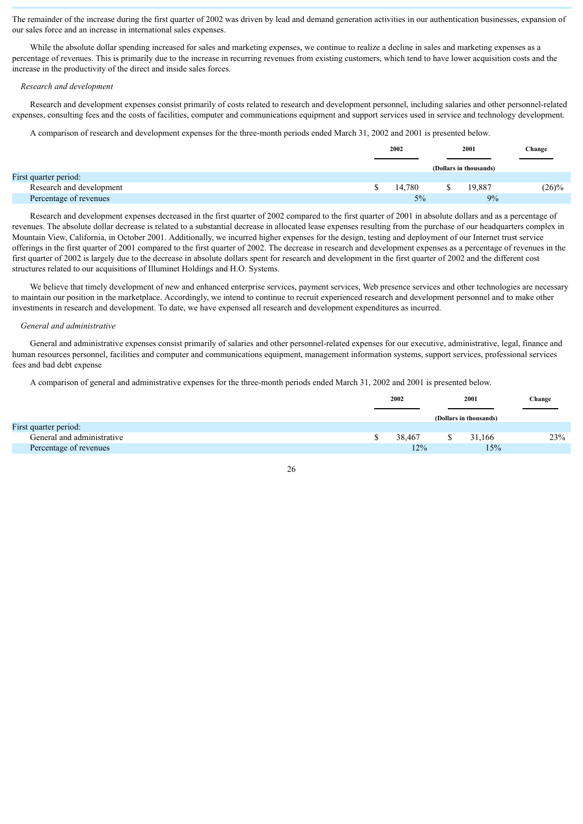The remainder of the increase during the first quarter of 2002 was driven by lead and demand generation activities in our authentication businesses, expansion of our sales force and an increase in international sales expenses.

While the absolute dollar spending increased for sales and marketing expenses, we continue to realize a decline in sales and marketing expenses as a percentage of revenues. This is primarily due to the increase in recurring revenues from existing customers, which tend to have lower acquisition costs and the increase in the productivity of the direct and inside sales forces.

#### *Research and development*

Research and development expenses consist primarily of costs related to research and development personnel, including salaries and other personnel-related expenses, consulting fees and the costs of facilities, computer and communications equipment and support services used in service and technology development.

A comparison of research and development expenses for the three-month periods ended March 31, 2002 and 2001 is presented below.

|                          | 2002   |  | 2001                   | Change   |  |  |
|--------------------------|--------|--|------------------------|----------|--|--|
|                          |        |  | (Dollars in thousands) |          |  |  |
| First quarter period:    |        |  |                        |          |  |  |
| Research and development | 14.780 |  | 19.887                 | $(26)\%$ |  |  |
| Percentage of revenues   | 5%     |  | 9%                     |          |  |  |

Research and development expenses decreased in the first quarter of 2002 compared to the first quarter of 2001 in absolute dollars and as a percentage of revenues. The absolute dollar decrease is related to a substantial decrease in allocated lease expenses resulting from the purchase of our headquarters complex in Mountain View, California, in October 2001. Additionally, we incurred higher expenses for the design, testing and deployment of our Internet trust service offerings in the first quarter of 2001 compared to the first quarter of 2002. The decrease in research and development expenses as a percentage of revenues in the first quarter of 2002 is largely due to the decrease in absolute dollars spent for research and development in the first quarter of 2002 and the different cost structures related to our acquisitions of Illuminet Holdings and H.O. Systems.

We believe that timely development of new and enhanced enterprise services, payment services, Web presence services and other technologies are necessary to maintain our position in the marketplace. Accordingly, we intend to continue to recruit experienced research and development personnel and to make other investments in research and development. To date, we have expensed all research and development expenditures as incurred.

#### *General and administrative*

General and administrative expenses consist primarily of salaries and other personnel-related expenses for our executive, administrative, legal, finance and human resources personnel, facilities and computer and communications equipment, management information systems, support services, professional services fees and bad debt expense

A comparison of general and administrative expenses for the three-month periods ended March 31, 2002 and 2001 is presented below.

|                            |  | 2002   |  |                        |     | 2001 | Change |  |
|----------------------------|--|--------|--|------------------------|-----|------|--------|--|
|                            |  |        |  | (Dollars in thousands) |     |      |        |  |
| First quarter period:      |  |        |  |                        |     |      |        |  |
| General and administrative |  | 38.467 |  | 31.166                 | 23% |      |        |  |
| Percentage of revenues     |  | 12%    |  | 15%                    |     |      |        |  |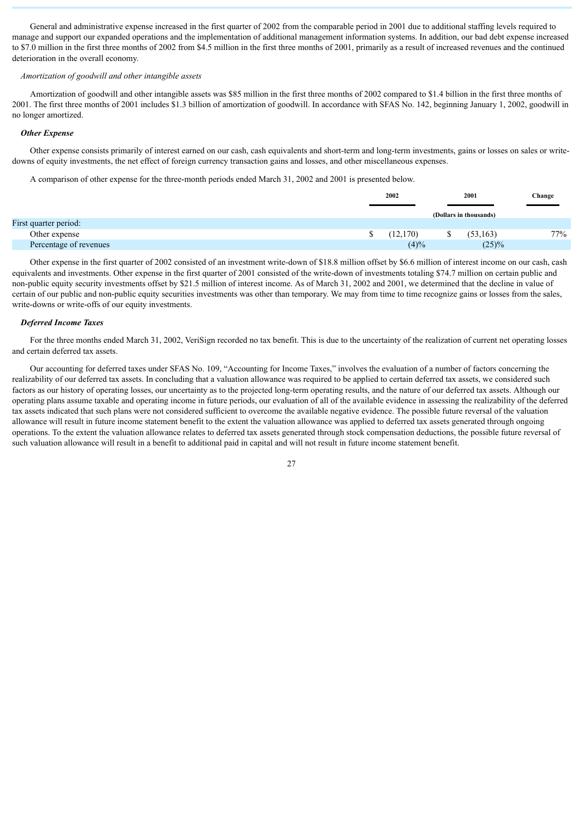General and administrative expense increased in the first quarter of 2002 from the comparable period in 2001 due to additional staffing levels required to manage and support our expanded operations and the implementation of additional management information systems. In addition, our bad debt expense increased to \$7.0 million in the first three months of 2002 from \$4.5 million in the first three months of 2001, primarily as a result of increased revenues and the continued deterioration in the overall economy.

#### *Amortization of goodwill and other intangible assets*

Amortization of goodwill and other intangible assets was \$85 million in the first three months of 2002 compared to \$1.4 billion in the first three months of 2001. The first three months of 2001 includes \$1.3 billion of amortization of goodwill. In accordance with SFAS No. 142, beginning January 1, 2002, goodwill in no longer amortized.

#### *Other Expense*

Other expense consists primarily of interest earned on our cash, cash equivalents and short-term and long-term investments, gains or losses on sales or writedowns of equity investments, the net effect of foreign currency transaction gains and losses, and other miscellaneous expenses.

A comparison of other expense for the three-month periods ended March 31, 2002 and 2001 is presented below.

|                        |  | 2002      |  |                        |     | 2001 | Change |
|------------------------|--|-----------|--|------------------------|-----|------|--------|
|                        |  |           |  | (Dollars in thousands) |     |      |        |
| First quarter period:  |  |           |  |                        |     |      |        |
| Other expense          |  | (12, 170) |  | (53, 163)              | 77% |      |        |
| Percentage of revenues |  | (4)%      |  | (25)%                  |     |      |        |

Other expense in the first quarter of 2002 consisted of an investment write-down of \$18.8 million offset by \$6.6 million of interest income on our cash, cash equivalents and investments. Other expense in the first quarter of 2001 consisted of the write-down of investments totaling \$74.7 million on certain public and non-public equity security investments offset by \$21.5 million of interest income. As of March 31, 2002 and 2001, we determined that the decline in value of certain of our public and non-public equity securities investments was other than temporary. We may from time to time recognize gains or losses from the sales, write-downs or write-offs of our equity investments.

#### *Deferred Income Taxes*

For the three months ended March 31, 2002, VeriSign recorded no tax benefit. This is due to the uncertainty of the realization of current net operating losses and certain deferred tax assets.

Our accounting for deferred taxes under SFAS No. 109, "Accounting for Income Taxes," involves the evaluation of a number of factors concerning the realizability of our deferred tax assets. In concluding that a valuation allowance was required to be applied to certain deferred tax assets, we considered such factors as our history of operating losses, our uncertainty as to the projected long-term operating results, and the nature of our deferred tax assets. Although our operating plans assume taxable and operating income in future periods, our evaluation of all of the available evidence in assessing the realizability of the deferred tax assets indicated that such plans were not considered sufficient to overcome the available negative evidence. The possible future reversal of the valuation allowance will result in future income statement benefit to the extent the valuation allowance was applied to deferred tax assets generated through ongoing operations. To the extent the valuation allowance relates to deferred tax assets generated through stock compensation deductions, the possible future reversal of such valuation allowance will result in a benefit to additional paid in capital and will not result in future income statement benefit.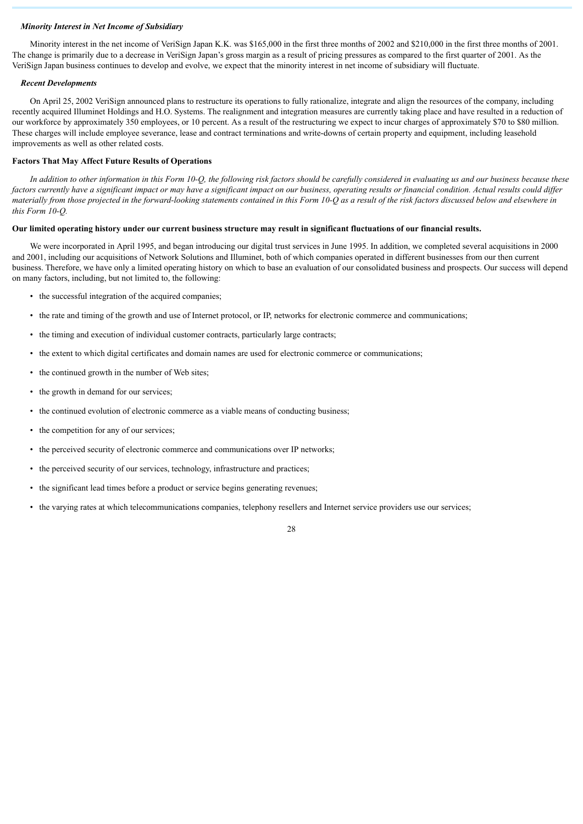#### *Minority Interest in Net Income of Subsidiary*

Minority interest in the net income of VeriSign Japan K.K. was \$165,000 in the first three months of 2002 and \$210,000 in the first three months of 2001. The change is primarily due to a decrease in VeriSign Japan's gross margin as a result of pricing pressures as compared to the first quarter of 2001. As the VeriSign Japan business continues to develop and evolve, we expect that the minority interest in net income of subsidiary will fluctuate.

#### *Recent Developments*

On April 25, 2002 VeriSign announced plans to restructure its operations to fully rationalize, integrate and align the resources of the company, including recently acquired Illuminet Holdings and H.O. Systems. The realignment and integration measures are currently taking place and have resulted in a reduction of our workforce by approximately 350 employees, or 10 percent. As a result of the restructuring we expect to incur charges of approximately \$70 to \$80 million. These charges will include employee severance, lease and contract terminations and write-downs of certain property and equipment, including leasehold improvements as well as other related costs.

#### **Factors That May Affect Future Results of Operations**

*In addition to other information in this Form 10-Q, the following risk factors should be carefully considered in evaluating us and our business because these factors currently have a significant impact or may have a significant impact on our business, operating results or financial condition. Actual results could differ materially from those projected in the forward-looking statements contained in this Form 10-Q as a result of the risk factors discussed below and elsewhere in this Form 10-Q.*

# **Our limited operating history under our current business structure may result in significant fluctuations of our financial results.**

We were incorporated in April 1995, and began introducing our digital trust services in June 1995. In addition, we completed several acquisitions in 2000 and 2001, including our acquisitions of Network Solutions and Illuminet, both of which companies operated in different businesses from our then current business. Therefore, we have only a limited operating history on which to base an evaluation of our consolidated business and prospects. Our success will depend on many factors, including, but not limited to, the following:

- the successful integration of the acquired companies:
- the rate and timing of the growth and use of Internet protocol, or IP, networks for electronic commerce and communications;
- the timing and execution of individual customer contracts, particularly large contracts;
- the extent to which digital certificates and domain names are used for electronic commerce or communications;
- the continued growth in the number of Web sites;
- the growth in demand for our services;
- the continued evolution of electronic commerce as a viable means of conducting business;
- the competition for any of our services;
- the perceived security of electronic commerce and communications over IP networks;
- the perceived security of our services, technology, infrastructure and practices;
- the significant lead times before a product or service begins generating revenues;
- the varying rates at which telecommunications companies, telephony resellers and Internet service providers use our services;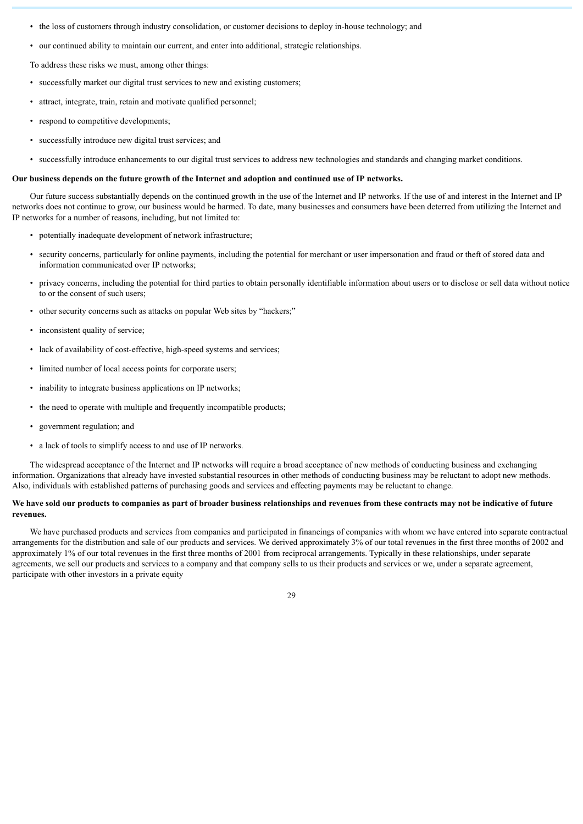- the loss of customers through industry consolidation, or customer decisions to deploy in-house technology; and
- our continued ability to maintain our current, and enter into additional, strategic relationships.

To address these risks we must, among other things:

- successfully market our digital trust services to new and existing customers;
- attract, integrate, train, retain and motivate qualified personnel;
- respond to competitive developments;
- successfully introduce new digital trust services; and
- successfully introduce enhancements to our digital trust services to address new technologies and standards and changing market conditions.

# **Our business depends on the future growth of the Internet and adoption and continued use of IP networks.**

Our future success substantially depends on the continued growth in the use of the Internet and IP networks. If the use of and interest in the Internet and IP networks does not continue to grow, our business would be harmed. To date, many businesses and consumers have been deterred from utilizing the Internet and IP networks for a number of reasons, including, but not limited to:

- potentially inadequate development of network infrastructure;
- security concerns, particularly for online payments, including the potential for merchant or user impersonation and fraud or theft of stored data and information communicated over IP networks;
- privacy concerns, including the potential for third parties to obtain personally identifiable information about users or to disclose or sell data without notice to or the consent of such users;
- other security concerns such as attacks on popular Web sites by "hackers;"
- inconsistent quality of service:
- lack of availability of cost-effective, high-speed systems and services;
- limited number of local access points for corporate users;
- inability to integrate business applications on IP networks;
- the need to operate with multiple and frequently incompatible products;
- government regulation; and
- a lack of tools to simplify access to and use of IP networks.

The widespread acceptance of the Internet and IP networks will require a broad acceptance of new methods of conducting business and exchanging information. Organizations that already have invested substantial resources in other methods of conducting business may be reluctant to adopt new methods. Also, individuals with established patterns of purchasing goods and services and effecting payments may be reluctant to change.

# **We have sold our products to companies as part of broader business relationships and revenues from these contracts may not be indicative of future revenues.**

We have purchased products and services from companies and participated in financings of companies with whom we have entered into separate contractual arrangements for the distribution and sale of our products and services. We derived approximately 3% of our total revenues in the first three months of 2002 and approximately 1% of our total revenues in the first three months of 2001 from reciprocal arrangements. Typically in these relationships, under separate agreements, we sell our products and services to a company and that company sells to us their products and services or we, under a separate agreement, participate with other investors in a private equity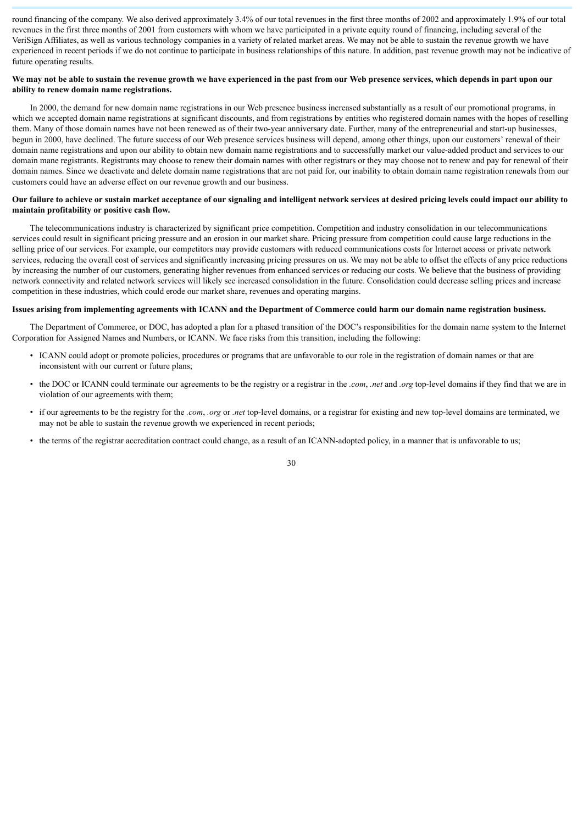round financing of the company. We also derived approximately 3.4% of our total revenues in the first three months of 2002 and approximately 1.9% of our total revenues in the first three months of 2001 from customers with whom we have participated in a private equity round of financing, including several of the VeriSign Affiliates, as well as various technology companies in a variety of related market areas. We may not be able to sustain the revenue growth we have experienced in recent periods if we do not continue to participate in business relationships of this nature. In addition, past revenue growth may not be indicative of future operating results.

# **We may not be able to sustain the revenue growth we have experienced in the past from our Web presence services, which depends in part upon our ability to renew domain name registrations.**

In 2000, the demand for new domain name registrations in our Web presence business increased substantially as a result of our promotional programs, in which we accepted domain name registrations at significant discounts, and from registrations by entities who registered domain names with the hopes of reselling them. Many of those domain names have not been renewed as of their two-year anniversary date. Further, many of the entrepreneurial and start-up businesses, begun in 2000, have declined. The future success of our Web presence services business will depend, among other things, upon our customers' renewal of their domain name registrations and upon our ability to obtain new domain name registrations and to successfully market our value-added product and services to our domain mane registrants. Registrants may choose to renew their domain names with other registrars or they may choose not to renew and pay for renewal of their domain names. Since we deactivate and delete domain name registrations that are not paid for, our inability to obtain domain name registration renewals from our customers could have an adverse effect on our revenue growth and our business.

# **Our failure to achieve or sustain market acceptance of our signaling and intelligent network services at desired pricing levels could impact our ability to maintain profitability or positive cash flow.**

The telecommunications industry is characterized by significant price competition. Competition and industry consolidation in our telecommunications services could result in significant pricing pressure and an erosion in our market share. Pricing pressure from competition could cause large reductions in the selling price of our services. For example, our competitors may provide customers with reduced communications costs for Internet access or private network services, reducing the overall cost of services and significantly increasing pricing pressures on us. We may not be able to offset the effects of any price reductions by increasing the number of our customers, generating higher revenues from enhanced services or reducing our costs. We believe that the business of providing network connectivity and related network services will likely see increased consolidation in the future. Consolidation could decrease selling prices and increase competition in these industries, which could erode our market share, revenues and operating margins.

#### **Issues arising from implementing agreements with ICANN and the Department of Commerce could harm our domain name registration business.**

The Department of Commerce, or DOC, has adopted a plan for a phased transition of the DOC's responsibilities for the domain name system to the Internet Corporation for Assigned Names and Numbers, or ICANN. We face risks from this transition, including the following:

- ICANN could adopt or promote policies, procedures or programs that are unfavorable to our role in the registration of domain names or that are inconsistent with our current or future plans;
- the DOC or ICANN could terminate our agreements to be the registry or a registrar in the *.com*, *.net* and *.org* top-level domains if they find that we are in violation of our agreements with them;
- if our agreements to be the registry for the *.com*, *.org* or *.net* top-level domains, or a registrar for existing and new top-level domains are terminated, we may not be able to sustain the revenue growth we experienced in recent periods;
- the terms of the registrar accreditation contract could change, as a result of an ICANN-adopted policy, in a manner that is unfavorable to us;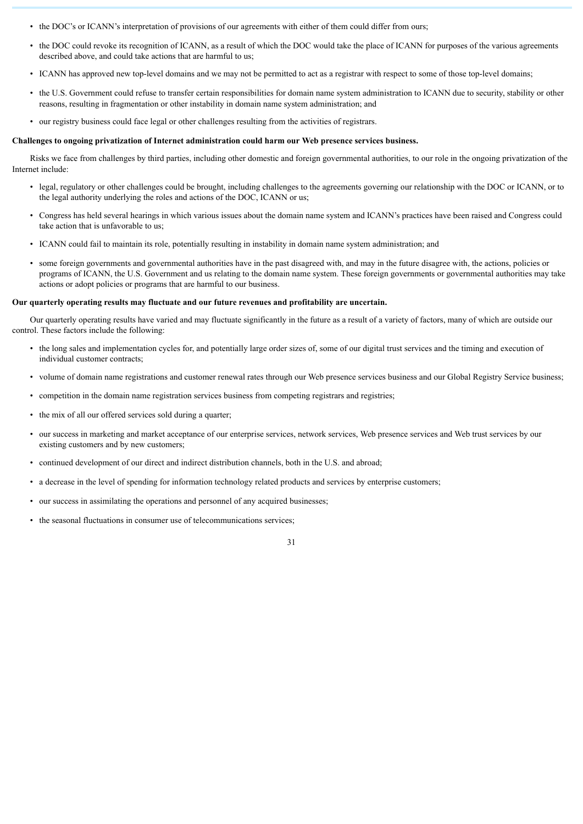- the DOC's or ICANN's interpretation of provisions of our agreements with either of them could differ from ours;
- the DOC could revoke its recognition of ICANN, as a result of which the DOC would take the place of ICANN for purposes of the various agreements described above, and could take actions that are harmful to us;
- ICANN has approved new top-level domains and we may not be permitted to act as a registrar with respect to some of those top-level domains;
- the U.S. Government could refuse to transfer certain responsibilities for domain name system administration to ICANN due to security, stability or other reasons, resulting in fragmentation or other instability in domain name system administration; and
- our registry business could face legal or other challenges resulting from the activities of registrars.

#### **Challenges to ongoing privatization of Internet administration could harm our Web presence services business.**

Risks we face from challenges by third parties, including other domestic and foreign governmental authorities, to our role in the ongoing privatization of the Internet include:

- legal, regulatory or other challenges could be brought, including challenges to the agreements governing our relationship with the DOC or ICANN, or to the legal authority underlying the roles and actions of the DOC, ICANN or us;
- Congress has held several hearings in which various issues about the domain name system and ICANN's practices have been raised and Congress could take action that is unfavorable to us;
- ICANN could fail to maintain its role, potentially resulting in instability in domain name system administration; and
- some foreign governments and governmental authorities have in the past disagreed with, and may in the future disagree with, the actions, policies or programs of ICANN, the U.S. Government and us relating to the domain name system. These foreign governments or governmental authorities may take actions or adopt policies or programs that are harmful to our business.

#### **Our quarterly operating results may fluctuate and our future revenues and profitability are uncertain.**

Our quarterly operating results have varied and may fluctuate significantly in the future as a result of a variety of factors, many of which are outside our control. These factors include the following:

- the long sales and implementation cycles for, and potentially large order sizes of, some of our digital trust services and the timing and execution of individual customer contracts;
- volume of domain name registrations and customer renewal rates through our Web presence services business and our Global Registry Service business;
- competition in the domain name registration services business from competing registrars and registries;
- the mix of all our offered services sold during a quarter;
- our success in marketing and market acceptance of our enterprise services, network services, Web presence services and Web trust services by our existing customers and by new customers;

- continued development of our direct and indirect distribution channels, both in the U.S. and abroad;
- a decrease in the level of spending for information technology related products and services by enterprise customers;
- our success in assimilating the operations and personnel of any acquired businesses;
- the seasonal fluctuations in consumer use of telecommunications services;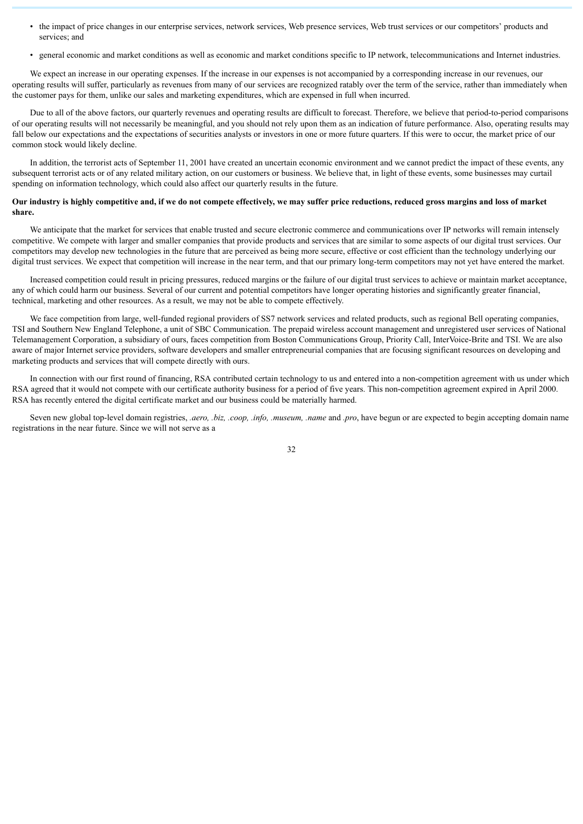- the impact of price changes in our enterprise services, network services, Web presence services, Web trust services or our competitors' products and services: and
- general economic and market conditions as well as economic and market conditions specific to IP network, telecommunications and Internet industries.

We expect an increase in our operating expenses. If the increase in our expenses is not accompanied by a corresponding increase in our revenues, our operating results will suffer, particularly as revenues from many of our services are recognized ratably over the term of the service, rather than immediately when the customer pays for them, unlike our sales and marketing expenditures, which are expensed in full when incurred.

Due to all of the above factors, our quarterly revenues and operating results are difficult to forecast. Therefore, we believe that period-to-period comparisons of our operating results will not necessarily be meaningful, and you should not rely upon them as an indication of future performance. Also, operating results may fall below our expectations and the expectations of securities analysts or investors in one or more future quarters. If this were to occur, the market price of our common stock would likely decline.

In addition, the terrorist acts of September 11, 2001 have created an uncertain economic environment and we cannot predict the impact of these events, any subsequent terrorist acts or of any related military action, on our customers or business. We believe that, in light of these events, some businesses may curtail spending on information technology, which could also affect our quarterly results in the future.

#### **Our industry is highly competitive and, if we do not compete effectively, we may suffer price reductions, reduced gross margins and loss of market share.**

We anticipate that the market for services that enable trusted and secure electronic commerce and communications over IP networks will remain intensely competitive. We compete with larger and smaller companies that provide products and services that are similar to some aspects of our digital trust services. Our competitors may develop new technologies in the future that are perceived as being more secure, effective or cost efficient than the technology underlying our digital trust services. We expect that competition will increase in the near term, and that our primary long-term competitors may not yet have entered the market.

Increased competition could result in pricing pressures, reduced margins or the failure of our digital trust services to achieve or maintain market acceptance, any of which could harm our business. Several of our current and potential competitors have longer operating histories and significantly greater financial, technical, marketing and other resources. As a result, we may not be able to compete effectively.

We face competition from large, well-funded regional providers of SS7 network services and related products, such as regional Bell operating companies, TSI and Southern New England Telephone, a unit of SBC Communication. The prepaid wireless account management and unregistered user services of National Telemanagement Corporation, a subsidiary of ours, faces competition from Boston Communications Group, Priority Call, InterVoice-Brite and TSI. We are also aware of major Internet service providers, software developers and smaller entrepreneurial companies that are focusing significant resources on developing and marketing products and services that will compete directly with ours.

In connection with our first round of financing, RSA contributed certain technology to us and entered into a non-competition agreement with us under which RSA agreed that it would not compete with our certificate authority business for a period of five years. This non-competition agreement expired in April 2000. RSA has recently entered the digital certificate market and our business could be materially harmed.

Seven new global top-level domain registries, *.aero, .biz, .coop, .info, .museum, .name* and *.pro*, have begun or are expected to begin accepting domain name registrations in the near future. Since we will not serve as a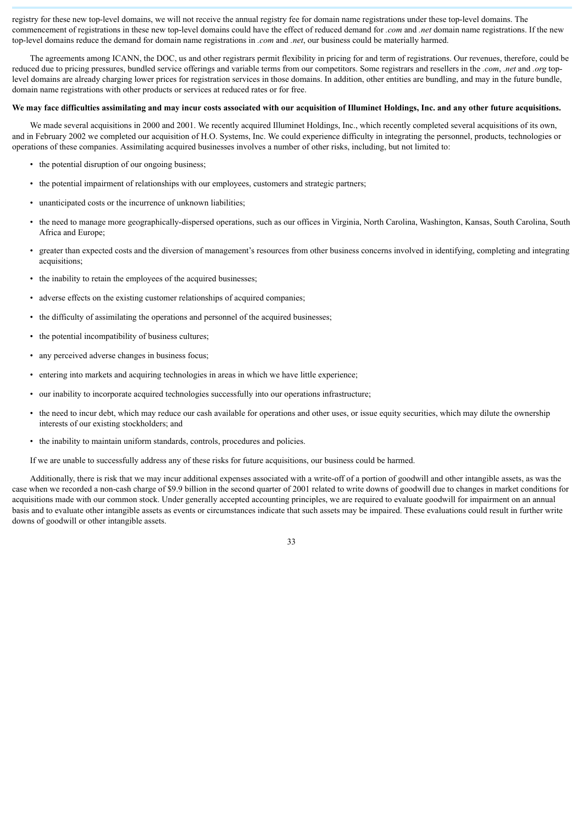registry for these new top-level domains, we will not receive the annual registry fee for domain name registrations under these top-level domains. The commencement of registrations in these new top-level domains could have the effect of reduced demand for *.com* and *.net* domain name registrations. If the new top-level domains reduce the demand for domain name registrations in *.com* and *.net*, our business could be materially harmed.

The agreements among ICANN, the DOC, us and other registrars permit flexibility in pricing for and term of registrations. Our revenues, therefore, could be reduced due to pricing pressures, bundled service offerings and variable terms from our competitors. Some registrars and resellers in the *.com*, *.net* and *.org* toplevel domains are already charging lower prices for registration services in those domains. In addition, other entities are bundling, and may in the future bundle, domain name registrations with other products or services at reduced rates or for free.

# **We may face difficulties assimilating and may incur costs associated with our acquisition of Illuminet Holdings, Inc. and any other future acquisitions.**

We made several acquisitions in 2000 and 2001. We recently acquired Illuminet Holdings, Inc., which recently completed several acquisitions of its own, and in February 2002 we completed our acquisition of H.O. Systems, Inc. We could experience difficulty in integrating the personnel, products, technologies or operations of these companies. Assimilating acquired businesses involves a number of other risks, including, but not limited to:

- the potential disruption of our ongoing business;
- the potential impairment of relationships with our employees, customers and strategic partners;
- unanticipated costs or the incurrence of unknown liabilities;
- the need to manage more geographically-dispersed operations, such as our offices in Virginia, North Carolina, Washington, Kansas, South Carolina, South Africa and Europe;
- greater than expected costs and the diversion of management's resources from other business concerns involved in identifying, completing and integrating acquisitions:
- the inability to retain the employees of the acquired businesses;
- adverse effects on the existing customer relationships of acquired companies;
- the difficulty of assimilating the operations and personnel of the acquired businesses;
- the potential incompatibility of business cultures;
- any perceived adverse changes in business focus;
- entering into markets and acquiring technologies in areas in which we have little experience;
- our inability to incorporate acquired technologies successfully into our operations infrastructure;
- the need to incur debt, which may reduce our cash available for operations and other uses, or issue equity securities, which may dilute the ownership interests of our existing stockholders; and
- the inability to maintain uniform standards, controls, procedures and policies.

If we are unable to successfully address any of these risks for future acquisitions, our business could be harmed.

Additionally, there is risk that we may incur additional expenses associated with a write-off of a portion of goodwill and other intangible assets, as was the case when we recorded a non-cash charge of \$9.9 billion in the second quarter of 2001 related to write downs of goodwill due to changes in market conditions for acquisitions made with our common stock. Under generally accepted accounting principles, we are required to evaluate goodwill for impairment on an annual basis and to evaluate other intangible assets as events or circumstances indicate that such assets may be impaired. These evaluations could result in further write downs of goodwill or other intangible assets.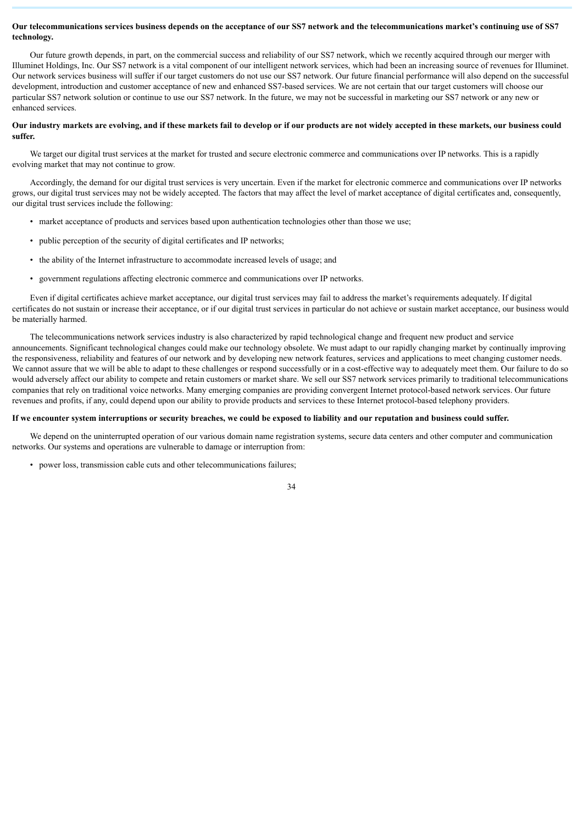# **Our telecommunications services business depends on the acceptance of our SS7 network and the telecommunications market's continuing use of SS7 technology.**

Our future growth depends, in part, on the commercial success and reliability of our SS7 network, which we recently acquired through our merger with Illuminet Holdings, Inc. Our SS7 network is a vital component of our intelligent network services, which had been an increasing source of revenues for Illuminet. Our network services business will suffer if our target customers do not use our SS7 network. Our future financial performance will also depend on the successful development, introduction and customer acceptance of new and enhanced SS7-based services. We are not certain that our target customers will choose our particular SS7 network solution or continue to use our SS7 network. In the future, we may not be successful in marketing our SS7 network or any new or enhanced services.

# **Our industry markets are evolving, and if these markets fail to develop or if our products are not widely accepted in these markets, our business could suffer.**

We target our digital trust services at the market for trusted and secure electronic commerce and communications over IP networks. This is a rapidly evolving market that may not continue to grow.

Accordingly, the demand for our digital trust services is very uncertain. Even if the market for electronic commerce and communications over IP networks grows, our digital trust services may not be widely accepted. The factors that may affect the level of market acceptance of digital certificates and, consequently, our digital trust services include the following:

- market acceptance of products and services based upon authentication technologies other than those we use;
- public perception of the security of digital certificates and IP networks;
- the ability of the Internet infrastructure to accommodate increased levels of usage; and
- government regulations affecting electronic commerce and communications over IP networks.

Even if digital certificates achieve market acceptance, our digital trust services may fail to address the market's requirements adequately. If digital certificates do not sustain or increase their acceptance, or if our digital trust services in particular do not achieve or sustain market acceptance, our business would be materially harmed.

The telecommunications network services industry is also characterized by rapid technological change and frequent new product and service announcements. Significant technological changes could make our technology obsolete. We must adapt to our rapidly changing market by continually improving the responsiveness, reliability and features of our network and by developing new network features, services and applications to meet changing customer needs. We cannot assure that we will be able to adapt to these challenges or respond successfully or in a cost-effective way to adequately meet them. Our failure to do so would adversely affect our ability to compete and retain customers or market share. We sell our SS7 network services primarily to traditional telecommunications companies that rely on traditional voice networks. Many emerging companies are providing convergent Internet protocol-based network services. Our future revenues and profits, if any, could depend upon our ability to provide products and services to these Internet protocol-based telephony providers.

### **If we encounter system interruptions or security breaches, we could be exposed to liability and our reputation and business could suffer.**

We depend on the uninterrupted operation of our various domain name registration systems, secure data centers and other computer and communication networks. Our systems and operations are vulnerable to damage or interruption from:

• power loss, transmission cable cuts and other telecommunications failures;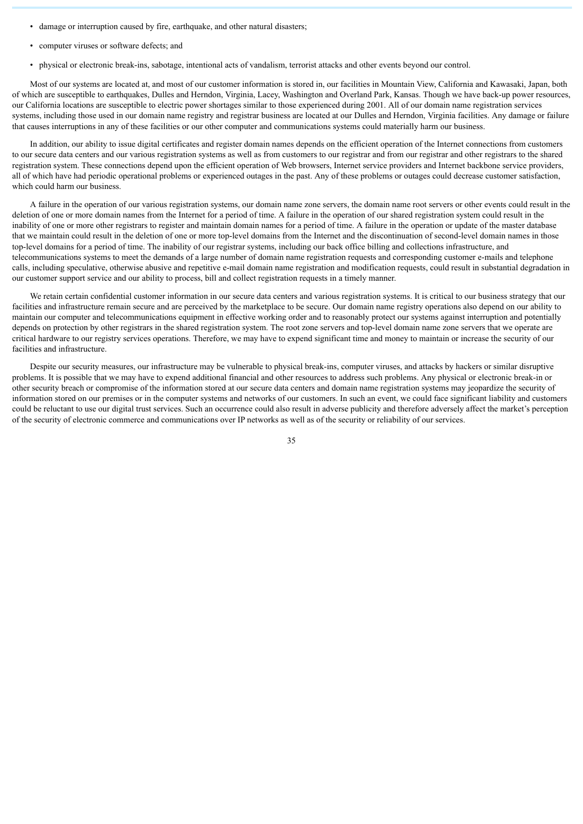- damage or interruption caused by fire, earthquake, and other natural disasters;
- computer viruses or software defects; and
- physical or electronic break-ins, sabotage, intentional acts of vandalism, terrorist attacks and other events beyond our control.

Most of our systems are located at, and most of our customer information is stored in, our facilities in Mountain View, California and Kawasaki, Japan, both of which are susceptible to earthquakes, Dulles and Herndon, Virginia, Lacey, Washington and Overland Park, Kansas. Though we have back-up power resources, our California locations are susceptible to electric power shortages similar to those experienced during 2001. All of our domain name registration services systems, including those used in our domain name registry and registrar business are located at our Dulles and Herndon, Virginia facilities. Any damage or failure that causes interruptions in any of these facilities or our other computer and communications systems could materially harm our business.

In addition, our ability to issue digital certificates and register domain names depends on the efficient operation of the Internet connections from customers to our secure data centers and our various registration systems as well as from customers to our registrar and from our registrar and other registrars to the shared registration system. These connections depend upon the efficient operation of Web browsers, Internet service providers and Internet backbone service providers, all of which have had periodic operational problems or experienced outages in the past. Any of these problems or outages could decrease customer satisfaction, which could harm our business.

A failure in the operation of our various registration systems, our domain name zone servers, the domain name root servers or other events could result in the deletion of one or more domain names from the Internet for a period of time. A failure in the operation of our shared registration system could result in the inability of one or more other registrars to register and maintain domain names for a period of time. A failure in the operation or update of the master database that we maintain could result in the deletion of one or more top-level domains from the Internet and the discontinuation of second-level domain names in those top-level domains for a period of time. The inability of our registrar systems, including our back office billing and collections infrastructure, and telecommunications systems to meet the demands of a large number of domain name registration requests and corresponding customer e-mails and telephone calls, including speculative, otherwise abusive and repetitive e-mail domain name registration and modification requests, could result in substantial degradation in our customer support service and our ability to process, bill and collect registration requests in a timely manner.

We retain certain confidential customer information in our secure data centers and various registration systems. It is critical to our business strategy that our facilities and infrastructure remain secure and are perceived by the marketplace to be secure. Our domain name registry operations also depend on our ability to maintain our computer and telecommunications equipment in effective working order and to reasonably protect our systems against interruption and potentially depends on protection by other registrars in the shared registration system. The root zone servers and top-level domain name zone servers that we operate are critical hardware to our registry services operations. Therefore, we may have to expend significant time and money to maintain or increase the security of our facilities and infrastructure.

Despite our security measures, our infrastructure may be vulnerable to physical break-ins, computer viruses, and attacks by hackers or similar disruptive problems. It is possible that we may have to expend additional financial and other resources to address such problems. Any physical or electronic break-in or other security breach or compromise of the information stored at our secure data centers and domain name registration systems may jeopardize the security of information stored on our premises or in the computer systems and networks of our customers. In such an event, we could face significant liability and customers could be reluctant to use our digital trust services. Such an occurrence could also result in adverse publicity and therefore adversely affect the market's perception of the security of electronic commerce and communications over IP networks as well as of the security or reliability of our services.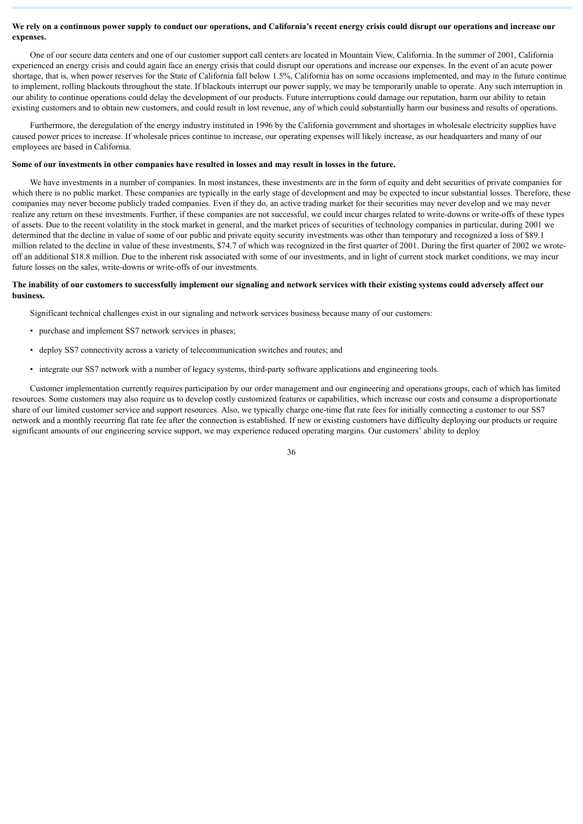# **We rely on a continuous power supply to conduct our operations, and California's recent energy crisis could disrupt our operations and increase our expenses.**

One of our secure data centers and one of our customer support call centers are located in Mountain View, California. In the summer of 2001, California experienced an energy crisis and could again face an energy crisis that could disrupt our operations and increase our expenses. In the event of an acute power shortage, that is, when power reserves for the State of California fall below 1.5%, California has on some occasions implemented, and may in the future continue to implement, rolling blackouts throughout the state. If blackouts interrupt our power supply, we may be temporarily unable to operate. Any such interruption in our ability to continue operations could delay the development of our products. Future interruptions could damage our reputation, harm our ability to retain existing customers and to obtain new customers, and could result in lost revenue, any of which could substantially harm our business and results of operations.

Furthermore, the deregulation of the energy industry instituted in 1996 by the California government and shortages in wholesale electricity supplies have caused power prices to increase. If wholesale prices continue to increase, our operating expenses will likely increase, as our headquarters and many of our employees are based in California.

# **Some of our investments in other companies have resulted in losses and may result in losses in the future.**

We have investments in a number of companies. In most instances, these investments are in the form of equity and debt securities of private companies for which there is no public market. These companies are typically in the early stage of development and may be expected to incur substantial losses. Therefore, these companies may never become publicly traded companies. Even if they do, an active trading market for their securities may never develop and we may never realize any return on these investments. Further, if these companies are not successful, we could incur charges related to write-downs or write-offs of these types of assets. Due to the recent volatility in the stock market in general, and the market prices of securities of technology companies in particular, during 2001 we determined that the decline in value of some of our public and private equity security investments was other than temporary and recognized a loss of \$89.1 million related to the decline in value of these investments, \$74.7 of which was recognized in the first quarter of 2001. During the first quarter of 2002 we wroteoff an additional \$18.8 million. Due to the inherent risk associated with some of our investments, and in light of current stock market conditions, we may incur future losses on the sales, write-downs or write-offs of our investments.

#### **The inability of our customers to successfully implement our signaling and network services with their existing systems could adversely affect our business.**

Significant technical challenges exist in our signaling and network services business because many of our customers:

- purchase and implement SS7 network services in phases;
- deploy SS7 connectivity across a variety of telecommunication switches and routes; and
- integrate our SS7 network with a number of legacy systems, third-party software applications and engineering tools.

Customer implementation currently requires participation by our order management and our engineering and operations groups, each of which has limited resources. Some customers may also require us to develop costly customized features or capabilities, which increase our costs and consume a disproportionate share of our limited customer service and support resources. Also, we typically charge one-time flat rate fees for initially connecting a customer to our SS7 network and a monthly recurring flat rate fee after the connection is established. If new or existing customers have difficulty deploying our products or require significant amounts of our engineering service support, we may experience reduced operating margins. Our customers' ability to deploy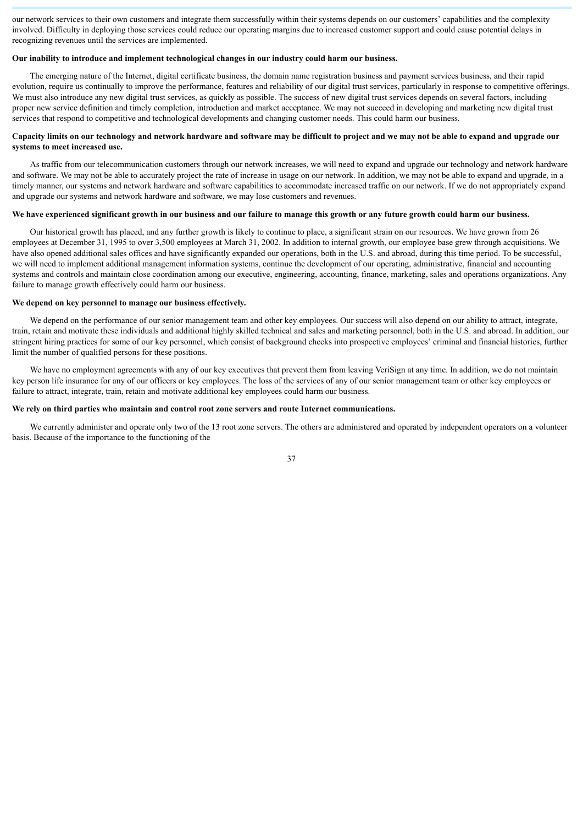our network services to their own customers and integrate them successfully within their systems depends on our customers' capabilities and the complexity involved. Difficulty in deploying those services could reduce our operating margins due to increased customer support and could cause potential delays in recognizing revenues until the services are implemented.

# **Our inability to introduce and implement technological changes in our industry could harm our business.**

The emerging nature of the Internet, digital certificate business, the domain name registration business and payment services business, and their rapid evolution, require us continually to improve the performance, features and reliability of our digital trust services, particularly in response to competitive offerings. We must also introduce any new digital trust services, as quickly as possible. The success of new digital trust services depends on several factors, including proper new service definition and timely completion, introduction and market acceptance. We may not succeed in developing and marketing new digital trust services that respond to competitive and technological developments and changing customer needs. This could harm our business.

# **Capacity limits on our technology and network hardware and software may be difficult to project and we may not be able to expand and upgrade our systems to meet increased use.**

As traffic from our telecommunication customers through our network increases, we will need to expand and upgrade our technology and network hardware and software. We may not be able to accurately project the rate of increase in usage on our network. In addition, we may not be able to expand and upgrade, in a timely manner, our systems and network hardware and software capabilities to accommodate increased traffic on our network. If we do not appropriately expand and upgrade our systems and network hardware and software, we may lose customers and revenues.

# **We have experienced significant growth in our business and our failure to manage this growth or any future growth could harm our business.**

Our historical growth has placed, and any further growth is likely to continue to place, a significant strain on our resources. We have grown from 26 employees at December 31, 1995 to over 3,500 employees at March 31, 2002. In addition to internal growth, our employee base grew through acquisitions. We have also opened additional sales offices and have significantly expanded our operations, both in the U.S. and abroad, during this time period. To be successful, we will need to implement additional management information systems, continue the development of our operating, administrative, financial and accounting systems and controls and maintain close coordination among our executive, engineering, accounting, finance, marketing, sales and operations organizations. Any failure to manage growth effectively could harm our business.

#### **We depend on key personnel to manage our business effectively.**

We depend on the performance of our senior management team and other key employees. Our success will also depend on our ability to attract, integrate, train, retain and motivate these individuals and additional highly skilled technical and sales and marketing personnel, both in the U.S. and abroad. In addition, our stringent hiring practices for some of our key personnel, which consist of background checks into prospective employees' criminal and financial histories, further limit the number of qualified persons for these positions.

We have no employment agreements with any of our key executives that prevent them from leaving VeriSign at any time. In addition, we do not maintain key person life insurance for any of our officers or key employees. The loss of the services of any of our senior management team or other key employees or failure to attract, integrate, train, retain and motivate additional key employees could harm our business.

#### **We rely on third parties who maintain and control root zone servers and route Internet communications.**

We currently administer and operate only two of the 13 root zone servers. The others are administered and operated by independent operators on a volunteer basis. Because of the importance to the functioning of the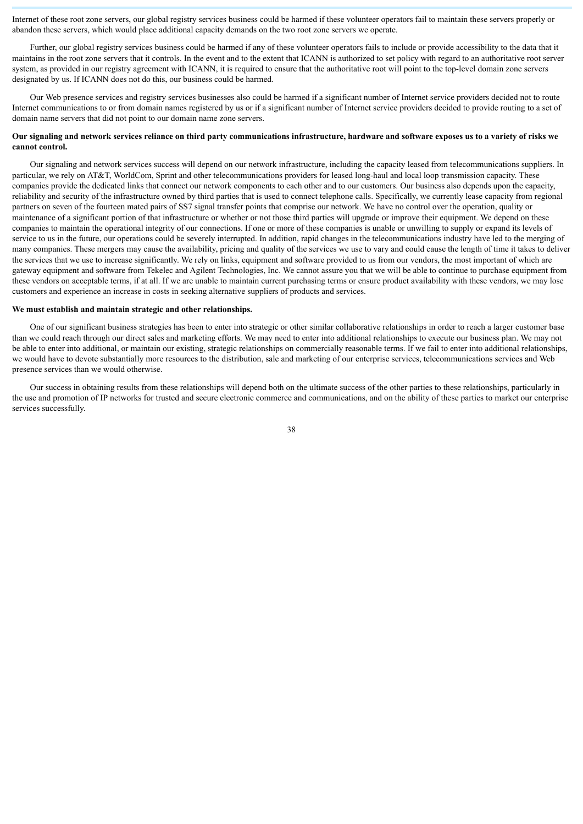Internet of these root zone servers, our global registry services business could be harmed if these volunteer operators fail to maintain these servers properly or abandon these servers, which would place additional capacity demands on the two root zone servers we operate.

Further, our global registry services business could be harmed if any of these volunteer operators fails to include or provide accessibility to the data that it maintains in the root zone servers that it controls. In the event and to the extent that ICANN is authorized to set policy with regard to an authoritative root server system, as provided in our registry agreement with ICANN, it is required to ensure that the authoritative root will point to the top-level domain zone servers designated by us. If ICANN does not do this, our business could be harmed.

Our Web presence services and registry services businesses also could be harmed if a significant number of Internet service providers decided not to route Internet communications to or from domain names registered by us or if a significant number of Internet service providers decided to provide routing to a set of domain name servers that did not point to our domain name zone servers.

# **Our signaling and network services reliance on third party communications infrastructure, hardware and software exposes us to a variety of risks we cannot control.**

Our signaling and network services success will depend on our network infrastructure, including the capacity leased from telecommunications suppliers. In particular, we rely on AT&T, WorldCom, Sprint and other telecommunications providers for leased long-haul and local loop transmission capacity. These companies provide the dedicated links that connect our network components to each other and to our customers. Our business also depends upon the capacity, reliability and security of the infrastructure owned by third parties that is used to connect telephone calls. Specifically, we currently lease capacity from regional partners on seven of the fourteen mated pairs of SS7 signal transfer points that comprise our network. We have no control over the operation, quality or maintenance of a significant portion of that infrastructure or whether or not those third parties will upgrade or improve their equipment. We depend on these companies to maintain the operational integrity of our connections. If one or more of these companies is unable or unwilling to supply or expand its levels of service to us in the future, our operations could be severely interrupted. In addition, rapid changes in the telecommunications industry have led to the merging of many companies. These mergers may cause the availability, pricing and quality of the services we use to vary and could cause the length of time it takes to deliver the services that we use to increase significantly. We rely on links, equipment and software provided to us from our vendors, the most important of which are gateway equipment and software from Tekelec and Agilent Technologies, Inc. We cannot assure you that we will be able to continue to purchase equipment from these vendors on acceptable terms, if at all. If we are unable to maintain current purchasing terms or ensure product availability with these vendors, we may lose customers and experience an increase in costs in seeking alternative suppliers of products and services.

#### **We must establish and maintain strategic and other relationships.**

One of our significant business strategies has been to enter into strategic or other similar collaborative relationships in order to reach a larger customer base than we could reach through our direct sales and marketing efforts. We may need to enter into additional relationships to execute our business plan. We may not be able to enter into additional, or maintain our existing, strategic relationships on commercially reasonable terms. If we fail to enter into additional relationships, we would have to devote substantially more resources to the distribution, sale and marketing of our enterprise services, telecommunications services and Web presence services than we would otherwise.

Our success in obtaining results from these relationships will depend both on the ultimate success of the other parties to these relationships, particularly in the use and promotion of IP networks for trusted and secure electronic commerce and communications, and on the ability of these parties to market our enterprise services successfully.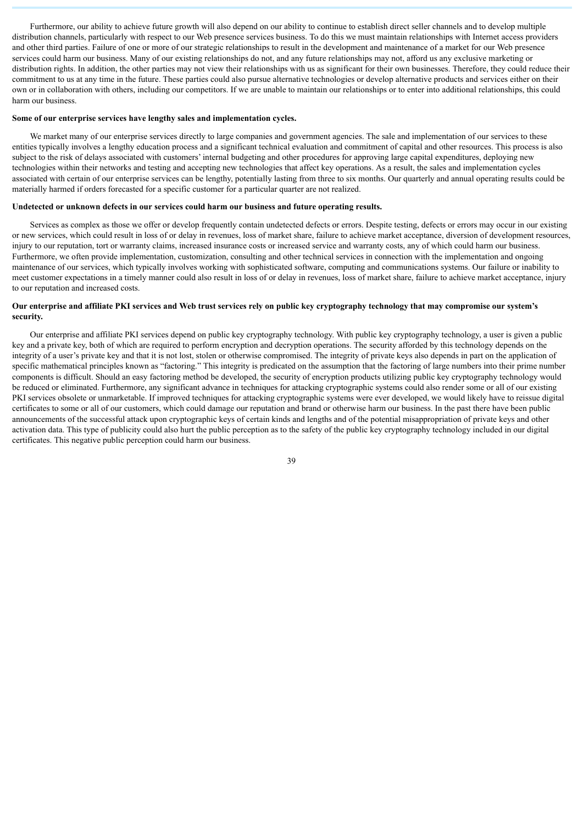Furthermore, our ability to achieve future growth will also depend on our ability to continue to establish direct seller channels and to develop multiple distribution channels, particularly with respect to our Web presence services business. To do this we must maintain relationships with Internet access providers and other third parties. Failure of one or more of our strategic relationships to result in the development and maintenance of a market for our Web presence services could harm our business. Many of our existing relationships do not, and any future relationships may not, afford us any exclusive marketing or distribution rights. In addition, the other parties may not view their relationships with us as significant for their own businesses. Therefore, they could reduce their commitment to us at any time in the future. These parties could also pursue alternative technologies or develop alternative products and services either on their own or in collaboration with others, including our competitors. If we are unable to maintain our relationships or to enter into additional relationships, this could harm our business.

#### **Some of our enterprise services have lengthy sales and implementation cycles.**

We market many of our enterprise services directly to large companies and government agencies. The sale and implementation of our services to these entities typically involves a lengthy education process and a significant technical evaluation and commitment of capital and other resources. This process is also subject to the risk of delays associated with customers' internal budgeting and other procedures for approving large capital expenditures, deploying new technologies within their networks and testing and accepting new technologies that affect key operations. As a result, the sales and implementation cycles associated with certain of our enterprise services can be lengthy, potentially lasting from three to six months. Our quarterly and annual operating results could be materially harmed if orders forecasted for a specific customer for a particular quarter are not realized.

#### **Undetected or unknown defects in our services could harm our business and future operating results.**

Services as complex as those we offer or develop frequently contain undetected defects or errors. Despite testing, defects or errors may occur in our existing or new services, which could result in loss of or delay in revenues, loss of market share, failure to achieve market acceptance, diversion of development resources, injury to our reputation, tort or warranty claims, increased insurance costs or increased service and warranty costs, any of which could harm our business. Furthermore, we often provide implementation, customization, consulting and other technical services in connection with the implementation and ongoing maintenance of our services, which typically involves working with sophisticated software, computing and communications systems. Our failure or inability to meet customer expectations in a timely manner could also result in loss of or delay in revenues, loss of market share, failure to achieve market acceptance, injury to our reputation and increased costs.

### **Our enterprise and affiliate PKI services and Web trust services rely on public key cryptography technology that may compromise our system's security.**

Our enterprise and affiliate PKI services depend on public key cryptography technology. With public key cryptography technology, a user is given a public key and a private key, both of which are required to perform encryption and decryption operations. The security afforded by this technology depends on the integrity of a user's private key and that it is not lost, stolen or otherwise compromised. The integrity of private keys also depends in part on the application of specific mathematical principles known as "factoring." This integrity is predicated on the assumption that the factoring of large numbers into their prime number components is difficult. Should an easy factoring method be developed, the security of encryption products utilizing public key cryptography technology would be reduced or eliminated. Furthermore, any significant advance in techniques for attacking cryptographic systems could also render some or all of our existing PKI services obsolete or unmarketable. If improved techniques for attacking cryptographic systems were ever developed, we would likely have to reissue digital certificates to some or all of our customers, which could damage our reputation and brand or otherwise harm our business. In the past there have been public announcements of the successful attack upon cryptographic keys of certain kinds and lengths and of the potential misappropriation of private keys and other activation data. This type of publicity could also hurt the public perception as to the safety of the public key cryptography technology included in our digital certificates. This negative public perception could harm our business.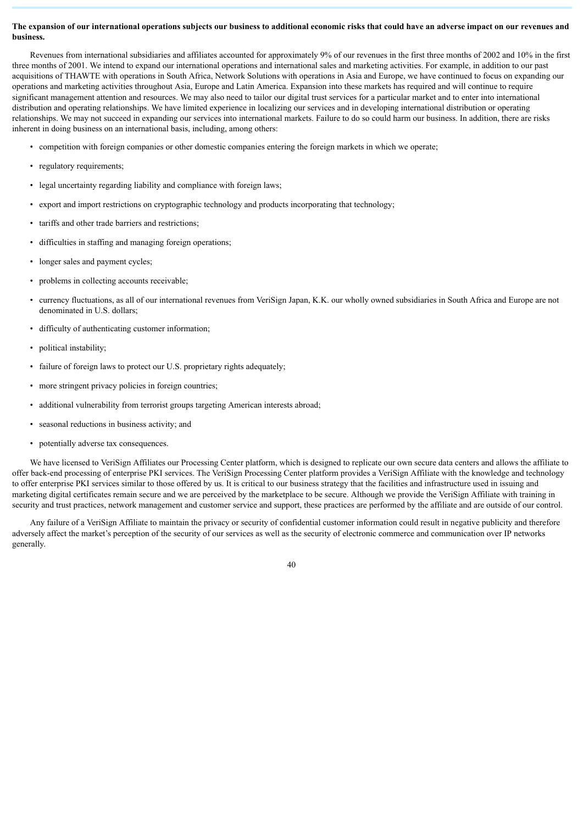# **The expansion of our international operations subjects our business to additional economic risks that could have an adverse impact on our revenues and business.**

Revenues from international subsidiaries and affiliates accounted for approximately 9% of our revenues in the first three months of 2002 and 10% in the first three months of 2001. We intend to expand our international operations and international sales and marketing activities. For example, in addition to our past acquisitions of THAWTE with operations in South Africa, Network Solutions with operations in Asia and Europe, we have continued to focus on expanding our operations and marketing activities throughout Asia, Europe and Latin America. Expansion into these markets has required and will continue to require significant management attention and resources. We may also need to tailor our digital trust services for a particular market and to enter into international distribution and operating relationships. We have limited experience in localizing our services and in developing international distribution or operating relationships. We may not succeed in expanding our services into international markets. Failure to do so could harm our business. In addition, there are risks inherent in doing business on an international basis, including, among others:

- competition with foreign companies or other domestic companies entering the foreign markets in which we operate;
- regulatory requirements;
- legal uncertainty regarding liability and compliance with foreign laws;
- export and import restrictions on cryptographic technology and products incorporating that technology;
- tariffs and other trade barriers and restrictions;
- difficulties in staffing and managing foreign operations;
- longer sales and payment cycles;
- problems in collecting accounts receivable;
- currency fluctuations, as all of our international revenues from VeriSign Japan, K.K. our wholly owned subsidiaries in South Africa and Europe are not denominated in U.S. dollars;
- difficulty of authenticating customer information;
- political instability;
- failure of foreign laws to protect our U.S. proprietary rights adequately;
- more stringent privacy policies in foreign countries;
- additional vulnerability from terrorist groups targeting American interests abroad;
- seasonal reductions in business activity; and
- potentially adverse tax consequences.

We have licensed to VeriSign Affiliates our Processing Center platform, which is designed to replicate our own secure data centers and allows the affiliate to offer back-end processing of enterprise PKI services. The VeriSign Processing Center platform provides a VeriSign Affiliate with the knowledge and technology to offer enterprise PKI services similar to those offered by us. It is critical to our business strategy that the facilities and infrastructure used in issuing and marketing digital certificates remain secure and we are perceived by the marketplace to be secure. Although we provide the VeriSign Affiliate with training in security and trust practices, network management and customer service and support, these practices are performed by the affiliate and are outside of our control.

Any failure of a VeriSign Affiliate to maintain the privacy or security of confidential customer information could result in negative publicity and therefore adversely affect the market's perception of the security of our services as well as the security of electronic commerce and communication over IP networks generally.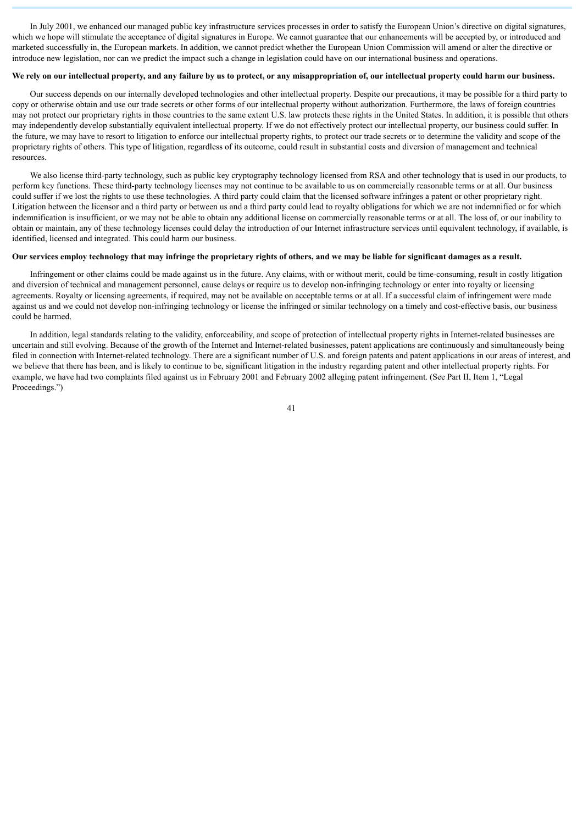In July 2001, we enhanced our managed public key infrastructure services processes in order to satisfy the European Union's directive on digital signatures, which we hope will stimulate the acceptance of digital signatures in Europe. We cannot guarantee that our enhancements will be accepted by, or introduced and marketed successfully in, the European markets. In addition, we cannot predict whether the European Union Commission will amend or alter the directive or introduce new legislation, nor can we predict the impact such a change in legislation could have on our international business and operations.

#### **We rely on our intellectual property, and any failure by us to protect, or any misappropriation of, our intellectual property could harm our business.**

Our success depends on our internally developed technologies and other intellectual property. Despite our precautions, it may be possible for a third party to copy or otherwise obtain and use our trade secrets or other forms of our intellectual property without authorization. Furthermore, the laws of foreign countries may not protect our proprietary rights in those countries to the same extent U.S. law protects these rights in the United States. In addition, it is possible that others may independently develop substantially equivalent intellectual property. If we do not effectively protect our intellectual property, our business could suffer. In the future, we may have to resort to litigation to enforce our intellectual property rights, to protect our trade secrets or to determine the validity and scope of the proprietary rights of others. This type of litigation, regardless of its outcome, could result in substantial costs and diversion of management and technical resources.

We also license third-party technology, such as public key cryptography technology licensed from RSA and other technology that is used in our products, to perform key functions. These third-party technology licenses may not continue to be available to us on commercially reasonable terms or at all. Our business could suffer if we lost the rights to use these technologies. A third party could claim that the licensed software infringes a patent or other proprietary right. Litigation between the licensor and a third party or between us and a third party could lead to royalty obligations for which we are not indemnified or for which indemnification is insufficient, or we may not be able to obtain any additional license on commercially reasonable terms or at all. The loss of, or our inability to obtain or maintain, any of these technology licenses could delay the introduction of our Internet infrastructure services until equivalent technology, if available, is identified, licensed and integrated. This could harm our business.

# **Our services employ technology that may infringe the proprietary rights of others, and we may be liable for significant damages as a result.**

Infringement or other claims could be made against us in the future. Any claims, with or without merit, could be time-consuming, result in costly litigation and diversion of technical and management personnel, cause delays or require us to develop non-infringing technology or enter into royalty or licensing agreements. Royalty or licensing agreements, if required, may not be available on acceptable terms or at all. If a successful claim of infringement were made against us and we could not develop non-infringing technology or license the infringed or similar technology on a timely and cost-effective basis, our business could be harmed.

In addition, legal standards relating to the validity, enforceability, and scope of protection of intellectual property rights in Internet-related businesses are uncertain and still evolving. Because of the growth of the Internet and Internet-related businesses, patent applications are continuously and simultaneously being filed in connection with Internet-related technology. There are a significant number of U.S. and foreign patents and patent applications in our areas of interest, and we believe that there has been, and is likely to continue to be, significant litigation in the industry regarding patent and other intellectual property rights. For example, we have had two complaints filed against us in February 2001 and February 2002 alleging patent infringement. (See Part II, Item 1, "Legal Proceedings.")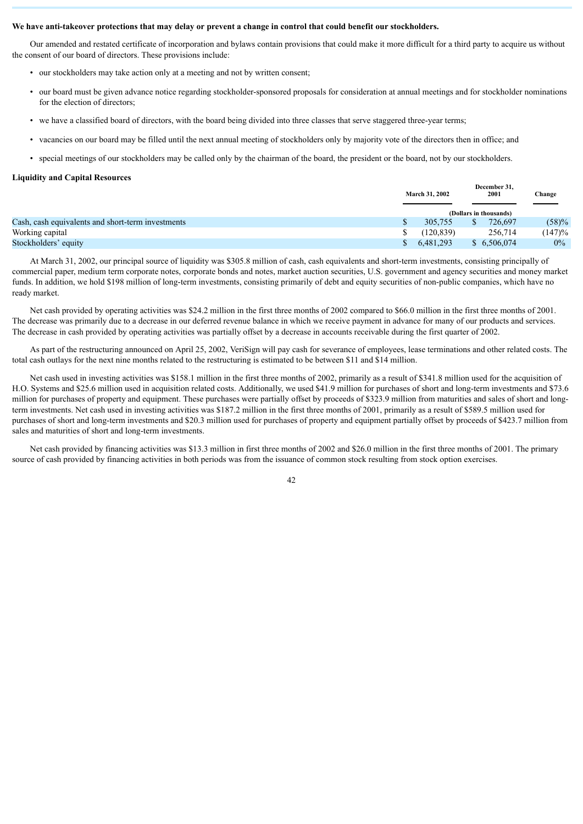#### **We have anti-takeover protections that may delay or prevent a change in control that could benefit our stockholders.**

Our amended and restated certificate of incorporation and bylaws contain provisions that could make it more difficult for a third party to acquire us without the consent of our board of directors. These provisions include:

- our stockholders may take action only at a meeting and not by written consent;
- our board must be given advance notice regarding stockholder-sponsored proposals for consideration at annual meetings and for stockholder nominations for the election of directors;
- we have a classified board of directors, with the board being divided into three classes that serve staggered three-year terms;
- vacancies on our board may be filled until the next annual meeting of stockholders only by majority vote of the directors then in office; and
- special meetings of our stockholders may be called only by the chairman of the board, the president or the board, not by our stockholders.

#### **Liquidity and Capital Resources**

|                                                   | <b>March 31, 2002</b> | ресенноег эт,<br>2001  | Change |
|---------------------------------------------------|-----------------------|------------------------|--------|
|                                                   |                       | (Dollars in thousands) |        |
| Cash, cash equivalents and short-term investments | 305.755               | 726.697                | (58)%  |
| Working capital                                   | (120.839)             | 256,714                | (147)% |
| Stockholders' equity                              | 6.481.293             | \$6,506,074            | $0\%$  |

**December 31,**

At March 31, 2002, our principal source of liquidity was \$305.8 million of cash, cash equivalents and short-term investments, consisting principally of commercial paper, medium term corporate notes, corporate bonds and notes, market auction securities, U.S. government and agency securities and money market funds. In addition, we hold \$198 million of long-term investments, consisting primarily of debt and equity securities of non-public companies, which have no ready market.

Net cash provided by operating activities was \$24.2 million in the first three months of 2002 compared to \$66.0 million in the first three months of 2001. The decrease was primarily due to a decrease in our deferred revenue balance in which we receive payment in advance for many of our products and services. The decrease in cash provided by operating activities was partially offset by a decrease in accounts receivable during the first quarter of 2002.

As part of the restructuring announced on April 25, 2002, VeriSign will pay cash for severance of employees, lease terminations and other related costs. The total cash outlays for the next nine months related to the restructuring is estimated to be between \$11 and \$14 million.

Net cash used in investing activities was \$158.1 million in the first three months of 2002, primarily as a result of \$341.8 million used for the acquisition of H.O. Systems and \$25.6 million used in acquisition related costs. Additionally, we used \$41.9 million for purchases of short and long-term investments and \$73.6 million for purchases of property and equipment. These purchases were partially offset by proceeds of \$323.9 million from maturities and sales of short and longterm investments. Net cash used in investing activities was \$187.2 million in the first three months of 2001, primarily as a result of \$589.5 million used for purchases of short and long-term investments and \$20.3 million used for purchases of property and equipment partially offset by proceeds of \$423.7 million from sales and maturities of short and long-term investments.

Net cash provided by financing activities was \$13.3 million in first three months of 2002 and \$26.0 million in the first three months of 2001. The primary source of cash provided by financing activities in both periods was from the issuance of common stock resulting from stock option exercises.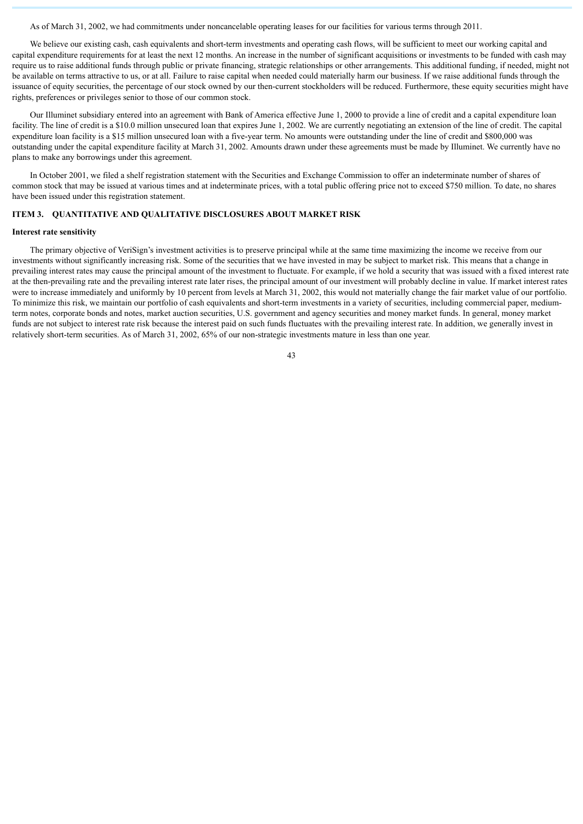As of March 31, 2002, we had commitments under noncancelable operating leases for our facilities for various terms through 2011.

We believe our existing cash, cash equivalents and short-term investments and operating cash flows, will be sufficient to meet our working capital and capital expenditure requirements for at least the next 12 months. An increase in the number of significant acquisitions or investments to be funded with cash may require us to raise additional funds through public or private financing, strategic relationships or other arrangements. This additional funding, if needed, might not be available on terms attractive to us, or at all. Failure to raise capital when needed could materially harm our business. If we raise additional funds through the issuance of equity securities, the percentage of our stock owned by our then-current stockholders will be reduced. Furthermore, these equity securities might have rights, preferences or privileges senior to those of our common stock.

Our Illuminet subsidiary entered into an agreement with Bank of America effective June 1, 2000 to provide a line of credit and a capital expenditure loan facility. The line of credit is a \$10.0 million unsecured loan that expires June 1, 2002. We are currently negotiating an extension of the line of credit. The capital expenditure loan facility is a \$15 million unsecured loan with a five-year term. No amounts were outstanding under the line of credit and \$800,000 was outstanding under the capital expenditure facility at March 31, 2002. Amounts drawn under these agreements must be made by Illuminet. We currently have no plans to make any borrowings under this agreement.

In October 2001, we filed a shelf registration statement with the Securities and Exchange Commission to offer an indeterminate number of shares of common stock that may be issued at various times and at indeterminate prices, with a total public offering price not to exceed \$750 million. To date, no shares have been issued under this registration statement.

### <span id="page-42-0"></span>**ITEM 3. QUANTITATIVE AND QUALITATIVE DISCLOSURES ABOUT MARKET RISK**

#### **Interest rate sensitivity**

The primary objective of VeriSign's investment activities is to preserve principal while at the same time maximizing the income we receive from our investments without significantly increasing risk. Some of the securities that we have invested in may be subject to market risk. This means that a change in prevailing interest rates may cause the principal amount of the investment to fluctuate. For example, if we hold a security that was issued with a fixed interest rate at the then-prevailing rate and the prevailing interest rate later rises, the principal amount of our investment will probably decline in value. If market interest rates were to increase immediately and uniformly by 10 percent from levels at March 31, 2002, this would not materially change the fair market value of our portfolio. To minimize this risk, we maintain our portfolio of cash equivalents and short-term investments in a variety of securities, including commercial paper, mediumterm notes, corporate bonds and notes, market auction securities, U.S. government and agency securities and money market funds. In general, money market funds are not subject to interest rate risk because the interest paid on such funds fluctuates with the prevailing interest rate. In addition, we generally invest in relatively short-term securities. As of March 31, 2002, 65% of our non-strategic investments mature in less than one year.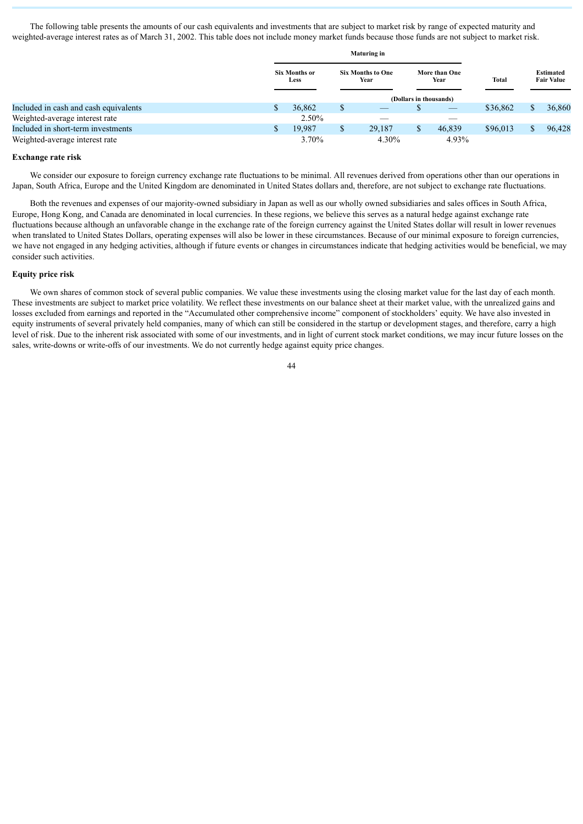The following table presents the amounts of our cash equivalents and investments that are subject to market risk by range of expected maturity and weighted-average interest rates as of March 31, 2002. This table does not include money market funds because those funds are not subject to market risk.

|                                       | <b>Maturing in</b> |                              |    |                                  |   |                          |              |                                       |
|---------------------------------------|--------------------|------------------------------|----|----------------------------------|---|--------------------------|--------------|---------------------------------------|
|                                       |                    | Six Months or<br><b>Less</b> |    | <b>Six Months to One</b><br>Year |   | More than One<br>Year    | <b>Total</b> | <b>Estimated</b><br><b>Fair Value</b> |
|                                       |                    |                              |    |                                  |   | (Dollars in thousands)   |              |                                       |
| Included in cash and cash equivalents |                    | 36,862                       | \$ |                                  |   | $\overline{\phantom{a}}$ | \$36,862     | 36,860                                |
| Weighted-average interest rate        |                    | 2.50%                        |    |                                  |   |                          |              |                                       |
| Included in short-term investments    |                    | 19.987                       | S  | 29,187                           | S | 46,839                   | \$96,013     | 96,428                                |
| Weighted-average interest rate        |                    | 3.70%                        |    | 4.30%                            |   | 4.93%                    |              |                                       |

# **Exchange rate risk**

We consider our exposure to foreign currency exchange rate fluctuations to be minimal. All revenues derived from operations other than our operations in Japan, South Africa, Europe and the United Kingdom are denominated in United States dollars and, therefore, are not subject to exchange rate fluctuations.

Both the revenues and expenses of our majority-owned subsidiary in Japan as well as our wholly owned subsidiaries and sales offices in South Africa, Europe, Hong Kong, and Canada are denominated in local currencies. In these regions, we believe this serves as a natural hedge against exchange rate fluctuations because although an unfavorable change in the exchange rate of the foreign currency against the United States dollar will result in lower revenues when translated to United States Dollars, operating expenses will also be lower in these circumstances. Because of our minimal exposure to foreign currencies, we have not engaged in any hedging activities, although if future events or changes in circumstances indicate that hedging activities would be beneficial, we may consider such activities.

# **Equity price risk**

We own shares of common stock of several public companies. We value these investments using the closing market value for the last day of each month. These investments are subject to market price volatility. We reflect these investments on our balance sheet at their market value, with the unrealized gains and losses excluded from earnings and reported in the "Accumulated other comprehensive income" component of stockholders' equity. We have also invested in equity instruments of several privately held companies, many of which can still be considered in the startup or development stages, and therefore, carry a high level of risk. Due to the inherent risk associated with some of our investments, and in light of current stock market conditions, we may incur future losses on the sales, write-downs or write-offs of our investments. We do not currently hedge against equity price changes.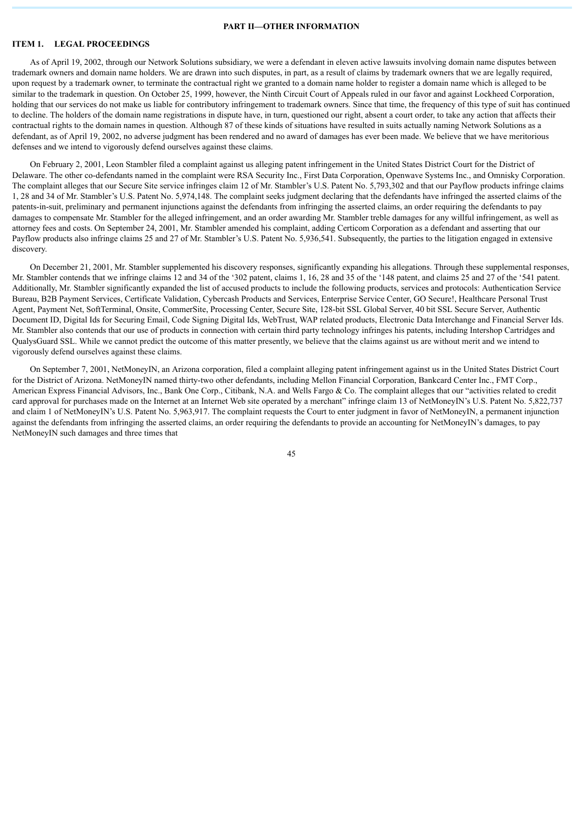# **PART II—OTHER INFORMATION**

# <span id="page-44-0"></span>**ITEM 1. LEGAL PROCEEDINGS**

As of April 19, 2002, through our Network Solutions subsidiary, we were a defendant in eleven active lawsuits involving domain name disputes between trademark owners and domain name holders. We are drawn into such disputes, in part, as a result of claims by trademark owners that we are legally required, upon request by a trademark owner, to terminate the contractual right we granted to a domain name holder to register a domain name which is alleged to be similar to the trademark in question. On October 25, 1999, however, the Ninth Circuit Court of Appeals ruled in our favor and against Lockheed Corporation, holding that our services do not make us liable for contributory infringement to trademark owners. Since that time, the frequency of this type of suit has continued to decline. The holders of the domain name registrations in dispute have, in turn, questioned our right, absent a court order, to take any action that affects their contractual rights to the domain names in question. Although 87 of these kinds of situations have resulted in suits actually naming Network Solutions as a defendant, as of April 19, 2002, no adverse judgment has been rendered and no award of damages has ever been made. We believe that we have meritorious defenses and we intend to vigorously defend ourselves against these claims.

On February 2, 2001, Leon Stambler filed a complaint against us alleging patent infringement in the United States District Court for the District of Delaware. The other co-defendants named in the complaint were RSA Security Inc., First Data Corporation, Openwave Systems Inc., and Omnisky Corporation. The complaint alleges that our Secure Site service infringes claim 12 of Mr. Stambler's U.S. Patent No. 5,793,302 and that our Payflow products infringe claims 1, 28 and 34 of Mr. Stambler's U.S. Patent No. 5,974,148. The complaint seeks judgment declaring that the defendants have infringed the asserted claims of the patents-in-suit, preliminary and permanent injunctions against the defendants from infringing the asserted claims, an order requiring the defendants to pay damages to compensate Mr. Stambler for the alleged infringement, and an order awarding Mr. Stambler treble damages for any willful infringement, as well as attorney fees and costs. On September 24, 2001, Mr. Stambler amended his complaint, adding Certicom Corporation as a defendant and asserting that our Payflow products also infringe claims 25 and 27 of Mr. Stambler's U.S. Patent No. 5,936,541. Subsequently, the parties to the litigation engaged in extensive discovery.

On December 21, 2001, Mr. Stambler supplemented his discovery responses, significantly expanding his allegations. Through these supplemental responses, Mr. Stambler contends that we infringe claims 12 and 34 of the '302 patent, claims 1, 16, 28 and 35 of the '148 patent, and claims 25 and 27 of the '541 patent. Additionally, Mr. Stambler significantly expanded the list of accused products to include the following products, services and protocols: Authentication Service Bureau, B2B Payment Services, Certificate Validation, Cybercash Products and Services, Enterprise Service Center, GO Secure!, Healthcare Personal Trust Agent, Payment Net, SoftTerminal, Onsite, CommerSite, Processing Center, Secure Site, 128-bit SSL Global Server, 40 bit SSL Secure Server, Authentic Document ID, Digital Ids for Securing Email, Code Signing Digital Ids, WebTrust, WAP related products, Electronic Data Interchange and Financial Server Ids. Mr. Stambler also contends that our use of products in connection with certain third party technology infringes his patents, including Intershop Cartridges and QualysGuard SSL. While we cannot predict the outcome of this matter presently, we believe that the claims against us are without merit and we intend to vigorously defend ourselves against these claims.

On September 7, 2001, NetMoneyIN, an Arizona corporation, filed a complaint alleging patent infringement against us in the United States District Court for the District of Arizona. NetMoneyIN named thirty-two other defendants, including Mellon Financial Corporation, Bankcard Center Inc., FMT Corp., American Express Financial Advisors, Inc., Bank One Corp., Citibank, N.A. and Wells Fargo & Co. The complaint alleges that our "activities related to credit card approval for purchases made on the Internet at an Internet Web site operated by a merchant" infringe claim 13 of NetMoneyIN's U.S. Patent No. 5,822,737 and claim 1 of NetMoneyIN's U.S. Patent No. 5,963,917. The complaint requests the Court to enter judgment in favor of NetMoneyIN, a permanent injunction against the defendants from infringing the asserted claims, an order requiring the defendants to provide an accounting for NetMoneyIN's damages, to pay NetMoneyIN such damages and three times that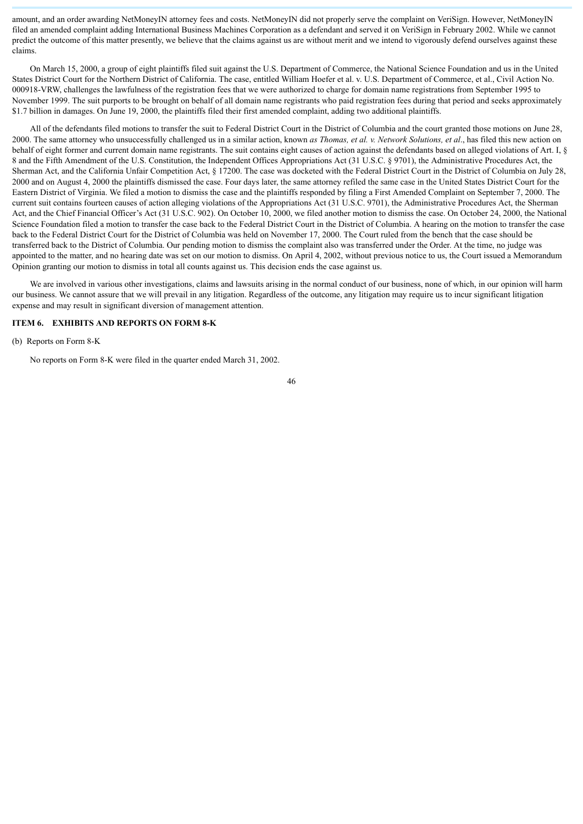amount, and an order awarding NetMoneyIN attorney fees and costs. NetMoneyIN did not properly serve the complaint on VeriSign. However, NetMoneyIN filed an amended complaint adding International Business Machines Corporation as a defendant and served it on VeriSign in February 2002. While we cannot predict the outcome of this matter presently, we believe that the claims against us are without merit and we intend to vigorously defend ourselves against these claims.

On March 15, 2000, a group of eight plaintiffs filed suit against the U.S. Department of Commerce, the National Science Foundation and us in the United States District Court for the Northern District of California. The case, entitled William Hoefer et al. v. U.S. Department of Commerce, et al., Civil Action No. 000918-VRW, challenges the lawfulness of the registration fees that we were authorized to charge for domain name registrations from September 1995 to November 1999. The suit purports to be brought on behalf of all domain name registrants who paid registration fees during that period and seeks approximately \$1.7 billion in damages. On June 19, 2000, the plaintiffs filed their first amended complaint, adding two additional plaintiffs.

All of the defendants filed motions to transfer the suit to Federal District Court in the District of Columbia and the court granted those motions on June 28, 2000. The same attorney who unsuccessfully challenged us in a similar action, known *as Thomas, et al. v. Network Solutions, et al*., has filed this new action on behalf of eight former and current domain name registrants. The suit contains eight causes of action against the defendants based on alleged violations of Art. I, § 8 and the Fifth Amendment of the U.S. Constitution, the Independent Offices Appropriations Act (31 U.S.C. § 9701), the Administrative Procedures Act, the Sherman Act, and the California Unfair Competition Act, § 17200. The case was docketed with the Federal District Court in the District of Columbia on July 28, 2000 and on August 4, 2000 the plaintiffs dismissed the case. Four days later, the same attorney refiled the same case in the United States District Court for the Eastern District of Virginia. We filed a motion to dismiss the case and the plaintiffs responded by filing a First Amended Complaint on September 7, 2000. The current suit contains fourteen causes of action alleging violations of the Appropriations Act (31 U.S.C. 9701), the Administrative Procedures Act, the Sherman Act, and the Chief Financial Officer's Act (31 U.S.C. 902). On October 10, 2000, we filed another motion to dismiss the case. On October 24, 2000, the National Science Foundation filed a motion to transfer the case back to the Federal District Court in the District of Columbia. A hearing on the motion to transfer the case back to the Federal District Court for the District of Columbia was held on November 17, 2000. The Court ruled from the bench that the case should be transferred back to the District of Columbia. Our pending motion to dismiss the complaint also was transferred under the Order. At the time, no judge was appointed to the matter, and no hearing date was set on our motion to dismiss. On April 4, 2002, without previous notice to us, the Court issued a Memorandum Opinion granting our motion to dismiss in total all counts against us. This decision ends the case against us.

We are involved in various other investigations, claims and lawsuits arising in the normal conduct of our business, none of which, in our opinion will harm our business. We cannot assure that we will prevail in any litigation. Regardless of the outcome, any litigation may require us to incur significant litigation expense and may result in significant diversion of management attention.

# <span id="page-45-0"></span>**ITEM 6. EXHIBITS AND REPORTS ON FORM 8-K**

(b) Reports on Form 8-K

No reports on Form 8-K were filed in the quarter ended March 31, 2002.